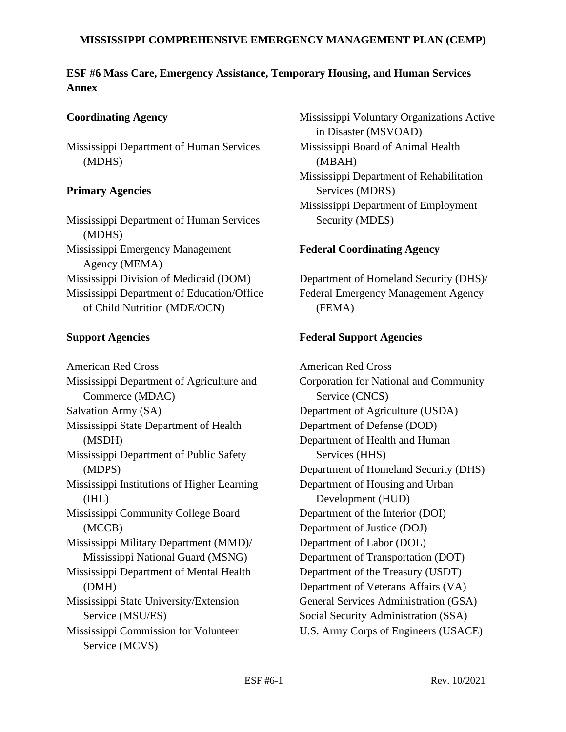### **MISSISSIPPI COMPREHENSIVE EMERGENCY MANAGEMENT PLAN (CEMP)**

### **ESF #6 Mass Care, Emergency Assistance, Temporary Housing, and Human Services Annex**

### **Coordinating Agency**

Mississippi Department of Human Services (MDHS)

### **Primary Agencies**

Mississippi Department of Human Services (MDHS) Mississippi Emergency Management Agency (MEMA) Mississippi Division of Medicaid (DOM) Mississippi Department of Education/Office of Child Nutrition (MDE/OCN)

### **Support Agencies**

American Red Cross Mississippi Department of Agriculture and Commerce (MDAC) Salvation Army (SA) Mississippi State Department of Health (MSDH) Mississippi Department of Public Safety (MDPS) Mississippi Institutions of Higher Learning (IHL) Mississippi Community College Board (MCCB) Mississippi Military Department (MMD)/ Mississippi National Guard (MSNG) Mississippi Department of Mental Health (DMH) Mississippi State University/Extension Service (MSU/ES) Mississippi Commission for Volunteer Service (MCVS)

Mississippi Voluntary Organizations Active in Disaster (MSVOAD) Mississippi Board of Animal Health (MBAH) Mississippi Department of Rehabilitation Services (MDRS) Mississippi Department of Employment Security (MDES)

### **Federal Coordinating Agency**

Department of Homeland Security (DHS)/ Federal Emergency Management Agency (FEMA)

### **Federal Support Agencies**

American Red Cross Corporation for National and Community Service (CNCS) Department of Agriculture (USDA) Department of Defense (DOD) Department of Health and Human Services (HHS) Department of Homeland Security (DHS) Department of Housing and Urban Development (HUD) Department of the Interior (DOI) Department of Justice (DOJ) Department of Labor (DOL) Department of Transportation (DOT) Department of the Treasury (USDT) Department of Veterans Affairs (VA) General Services Administration (GSA) Social Security Administration (SSA) U.S. Army Corps of Engineers (USACE)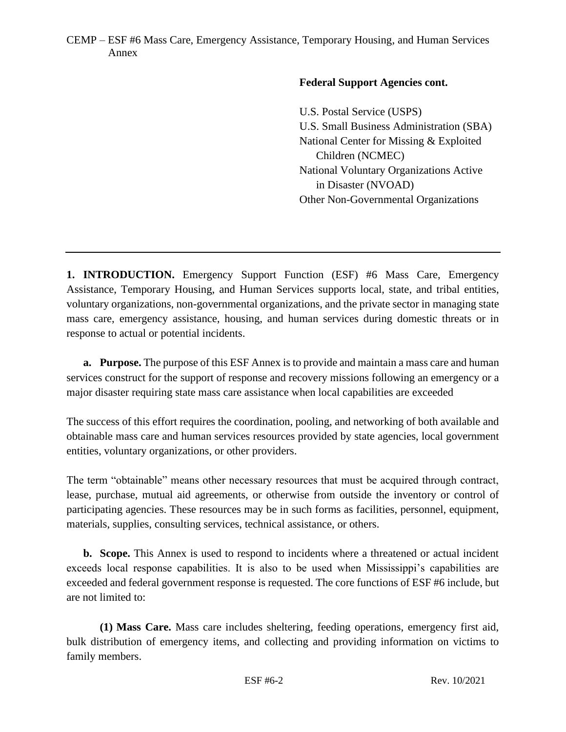### **Federal Support Agencies cont.**

U.S. Postal Service (USPS) U.S. Small Business Administration (SBA) National Center for Missing & Exploited Children (NCMEC) National Voluntary Organizations Active in Disaster (NVOAD) Other Non-Governmental Organizations

**1. INTRODUCTION.** Emergency Support Function (ESF) #6 Mass Care, Emergency Assistance, Temporary Housing, and Human Services supports local, state, and tribal entities, voluntary organizations, non-governmental organizations, and the private sector in managing state mass care, emergency assistance, housing, and human services during domestic threats or in response to actual or potential incidents.

**a. Purpose.** The purpose of this ESF Annex is to provide and maintain a mass care and human services construct for the support of response and recovery missions following an emergency or a major disaster requiring state mass care assistance when local capabilities are exceeded

The success of this effort requires the coordination, pooling, and networking of both available and obtainable mass care and human services resources provided by state agencies, local government entities, voluntary organizations, or other providers.

The term "obtainable" means other necessary resources that must be acquired through contract, lease, purchase, mutual aid agreements, or otherwise from outside the inventory or control of participating agencies. These resources may be in such forms as facilities, personnel, equipment, materials, supplies, consulting services, technical assistance, or others.

**b. Scope.** This Annex is used to respond to incidents where a threatened or actual incident exceeds local response capabilities. It is also to be used when Mississippi's capabilities are exceeded and federal government response is requested. The core functions of ESF #6 include, but are not limited to:

**(1) Mass Care.** Mass care includes sheltering, feeding operations, emergency first aid, bulk distribution of emergency items, and collecting and providing information on victims to family members.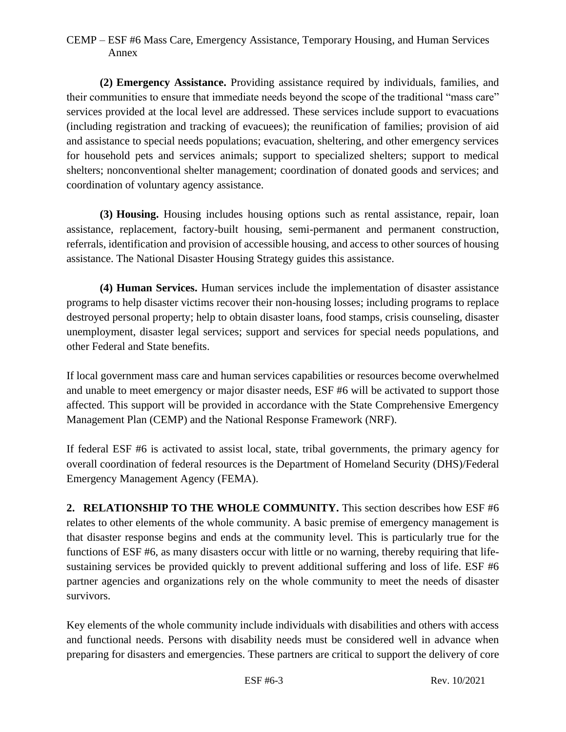**(2) Emergency Assistance.** Providing assistance required by individuals, families, and their communities to ensure that immediate needs beyond the scope of the traditional "mass care" services provided at the local level are addressed. These services include support to evacuations (including registration and tracking of evacuees); the reunification of families; provision of aid and assistance to special needs populations; evacuation, sheltering, and other emergency services for household pets and services animals; support to specialized shelters; support to medical shelters; nonconventional shelter management; coordination of donated goods and services; and coordination of voluntary agency assistance.

**(3) Housing.** Housing includes housing options such as rental assistance, repair, loan assistance, replacement, factory-built housing, semi-permanent and permanent construction, referrals, identification and provision of accessible housing, and access to other sources of housing assistance. The National Disaster Housing Strategy guides this assistance.

**(4) Human Services.** Human services include the implementation of disaster assistance programs to help disaster victims recover their non-housing losses; including programs to replace destroyed personal property; help to obtain disaster loans, food stamps, crisis counseling, disaster unemployment, disaster legal services; support and services for special needs populations, and other Federal and State benefits.

If local government mass care and human services capabilities or resources become overwhelmed and unable to meet emergency or major disaster needs, ESF #6 will be activated to support those affected. This support will be provided in accordance with the State Comprehensive Emergency Management Plan (CEMP) and the National Response Framework (NRF).

If federal ESF #6 is activated to assist local, state, tribal governments, the primary agency for overall coordination of federal resources is the Department of Homeland Security (DHS)/Federal Emergency Management Agency (FEMA).

**2. RELATIONSHIP TO THE WHOLE COMMUNITY.** This section describes how ESF #6 relates to other elements of the whole community. A basic premise of emergency management is that disaster response begins and ends at the community level. This is particularly true for the functions of ESF #6, as many disasters occur with little or no warning, thereby requiring that lifesustaining services be provided quickly to prevent additional suffering and loss of life. ESF #6 partner agencies and organizations rely on the whole community to meet the needs of disaster survivors.

Key elements of the whole community include individuals with disabilities and others with access and functional needs. Persons with disability needs must be considered well in advance when preparing for disasters and emergencies. These partners are critical to support the delivery of core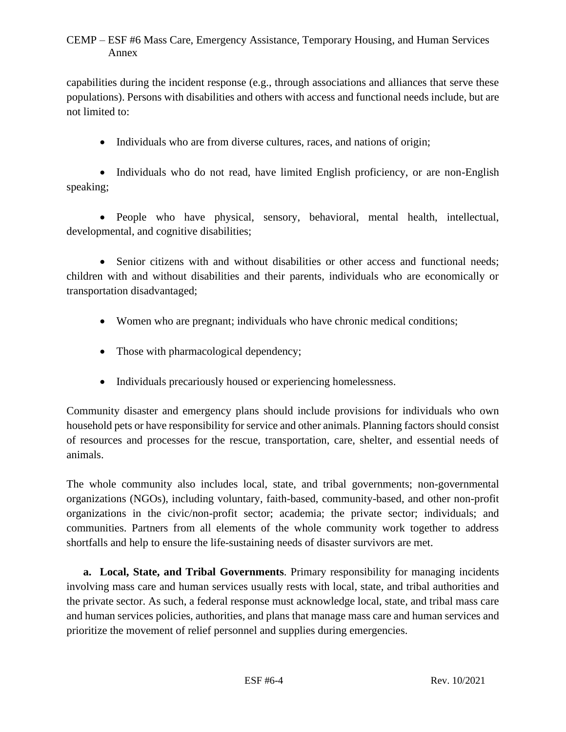capabilities during the incident response (e.g., through associations and alliances that serve these populations). Persons with disabilities and others with access and functional needs include, but are not limited to:

• Individuals who are from diverse cultures, races, and nations of origin;

• Individuals who do not read, have limited English proficiency, or are non-English speaking;

• People who have physical, sensory, behavioral, mental health, intellectual, developmental, and cognitive disabilities;

• Senior citizens with and without disabilities or other access and functional needs: children with and without disabilities and their parents, individuals who are economically or transportation disadvantaged;

- Women who are pregnant; individuals who have chronic medical conditions;
- Those with pharmacological dependency;
- Individuals precariously housed or experiencing homelessness.

Community disaster and emergency plans should include provisions for individuals who own household pets or have responsibility for service and other animals. Planning factors should consist of resources and processes for the rescue, transportation, care, shelter, and essential needs of animals.

The whole community also includes local, state, and tribal governments; non-governmental organizations (NGOs), including voluntary, faith-based, community-based, and other non-profit organizations in the civic/non-profit sector; academia; the private sector; individuals; and communities. Partners from all elements of the whole community work together to address shortfalls and help to ensure the life-sustaining needs of disaster survivors are met.

**a. Local, State, and Tribal Governments**. Primary responsibility for managing incidents involving mass care and human services usually rests with local, state, and tribal authorities and the private sector. As such, a federal response must acknowledge local, state, and tribal mass care and human services policies, authorities, and plans that manage mass care and human services and prioritize the movement of relief personnel and supplies during emergencies.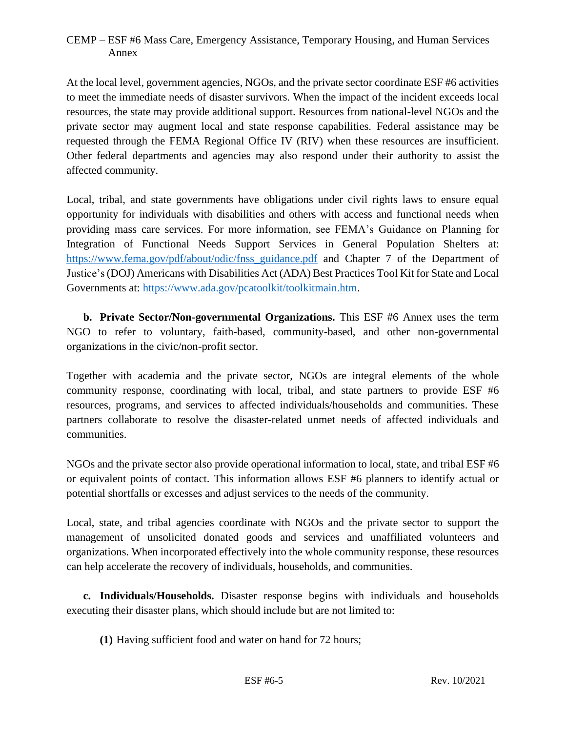At the local level, government agencies, NGOs, and the private sector coordinate ESF #6 activities to meet the immediate needs of disaster survivors. When the impact of the incident exceeds local resources, the state may provide additional support. Resources from national-level NGOs and the private sector may augment local and state response capabilities. Federal assistance may be requested through the FEMA Regional Office IV (RIV) when these resources are insufficient. Other federal departments and agencies may also respond under their authority to assist the affected community.

Local, tribal, and state governments have obligations under civil rights laws to ensure equal opportunity for individuals with disabilities and others with access and functional needs when providing mass care services. For more information, see FEMA's Guidance on Planning for Integration of Functional Needs Support Services in General Population Shelters at: [https://www.fema.gov/pdf/about/odic/fnss\\_guidance.pdf](https://www.fema.gov/pdf/about/odic/fnss_guidance.pdf) and Chapter 7 of the Department of Justice's (DOJ) Americans with Disabilities Act (ADA) Best Practices Tool Kit for State and Local Governments at: [https://www.ada.gov/pcatoolkit/toolkitmain.htm.](https://www.ada.gov/pcatoolkit/toolkitmain.htm)

**b. Private Sector/Non-governmental Organizations.** This ESF #6 Annex uses the term NGO to refer to voluntary, faith-based, community-based, and other non-governmental organizations in the civic/non-profit sector.

Together with academia and the private sector, NGOs are integral elements of the whole community response, coordinating with local, tribal, and state partners to provide ESF #6 resources, programs, and services to affected individuals/households and communities. These partners collaborate to resolve the disaster-related unmet needs of affected individuals and communities.

NGOs and the private sector also provide operational information to local, state, and tribal ESF #6 or equivalent points of contact. This information allows ESF #6 planners to identify actual or potential shortfalls or excesses and adjust services to the needs of the community.

Local, state, and tribal agencies coordinate with NGOs and the private sector to support the management of unsolicited donated goods and services and unaffiliated volunteers and organizations. When incorporated effectively into the whole community response, these resources can help accelerate the recovery of individuals, households, and communities.

**c. Individuals/Households.** Disaster response begins with individuals and households executing their disaster plans, which should include but are not limited to:

**(1)** Having sufficient food and water on hand for 72 hours;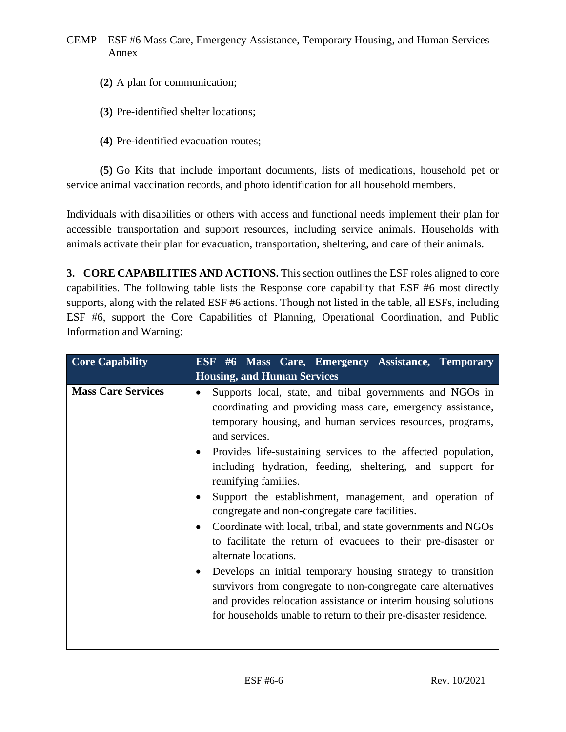- **(2)** A plan for communication;
- **(3)** Pre-identified shelter locations;
- **(4)** Pre-identified evacuation routes;

**(5)** Go Kits that include important documents, lists of medications, household pet or service animal vaccination records, and photo identification for all household members.

Individuals with disabilities or others with access and functional needs implement their plan for accessible transportation and support resources, including service animals. Households with animals activate their plan for evacuation, transportation, sheltering, and care of their animals.

**3. CORE CAPABILITIES AND ACTIONS.** This section outlines the ESF roles aligned to core capabilities. The following table lists the Response core capability that ESF #6 most directly supports, along with the related ESF #6 actions. Though not listed in the table, all ESFs, including ESF #6, support the Core Capabilities of Planning, Operational Coordination, and Public Information and Warning:

| <b>Core Capability</b>    | ESF #6 Mass Care, Emergency Assistance, Temporary                                                                                                                                                                                                                                                                                                                                                                                                                                                                                                                                                                                                                                                                                                                                                                                                                                                            |
|---------------------------|--------------------------------------------------------------------------------------------------------------------------------------------------------------------------------------------------------------------------------------------------------------------------------------------------------------------------------------------------------------------------------------------------------------------------------------------------------------------------------------------------------------------------------------------------------------------------------------------------------------------------------------------------------------------------------------------------------------------------------------------------------------------------------------------------------------------------------------------------------------------------------------------------------------|
|                           | <b>Housing, and Human Services</b>                                                                                                                                                                                                                                                                                                                                                                                                                                                                                                                                                                                                                                                                                                                                                                                                                                                                           |
| <b>Mass Care Services</b> | Supports local, state, and tribal governments and NGOs in<br>coordinating and providing mass care, emergency assistance,<br>temporary housing, and human services resources, programs,<br>and services.<br>Provides life-sustaining services to the affected population,<br>including hydration, feeding, sheltering, and support for<br>reunifying families.<br>Support the establishment, management, and operation of<br>congregate and non-congregate care facilities.<br>Coordinate with local, tribal, and state governments and NGOs<br>to facilitate the return of evacuees to their pre-disaster or<br>alternate locations.<br>Develops an initial temporary housing strategy to transition<br>survivors from congregate to non-congregate care alternatives<br>and provides relocation assistance or interim housing solutions<br>for households unable to return to their pre-disaster residence. |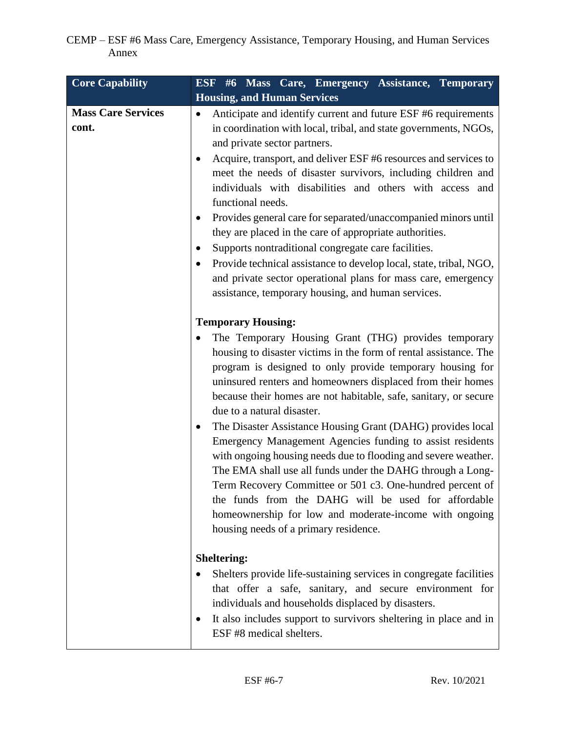| <b>Core Capability</b>             | ESF #6 Mass Care, Emergency Assistance, Temporary                                                                                                                                                                                                                                                                                                                                                                                                                                                                                                                                                                                                                                                                                                                                                                                                                            |
|------------------------------------|------------------------------------------------------------------------------------------------------------------------------------------------------------------------------------------------------------------------------------------------------------------------------------------------------------------------------------------------------------------------------------------------------------------------------------------------------------------------------------------------------------------------------------------------------------------------------------------------------------------------------------------------------------------------------------------------------------------------------------------------------------------------------------------------------------------------------------------------------------------------------|
|                                    | <b>Housing, and Human Services</b>                                                                                                                                                                                                                                                                                                                                                                                                                                                                                                                                                                                                                                                                                                                                                                                                                                           |
| <b>Mass Care Services</b><br>cont. | Anticipate and identify current and future ESF #6 requirements<br>in coordination with local, tribal, and state governments, NGOs,<br>and private sector partners.<br>Acquire, transport, and deliver ESF #6 resources and services to<br>meet the needs of disaster survivors, including children and<br>individuals with disabilities and others with access and<br>functional needs.<br>Provides general care for separated/unaccompanied minors until<br>they are placed in the care of appropriate authorities.<br>Supports nontraditional congregate care facilities.<br>Provide technical assistance to develop local, state, tribal, NGO,<br>and private sector operational plans for mass care, emergency<br>assistance, temporary housing, and human services.                                                                                                     |
|                                    | <b>Temporary Housing:</b><br>The Temporary Housing Grant (THG) provides temporary<br>housing to disaster victims in the form of rental assistance. The<br>program is designed to only provide temporary housing for<br>uninsured renters and homeowners displaced from their homes<br>because their homes are not habitable, safe, sanitary, or secure<br>due to a natural disaster.<br>The Disaster Assistance Housing Grant (DAHG) provides local<br>٠<br>Emergency Management Agencies funding to assist residents<br>with ongoing housing needs due to flooding and severe weather.<br>The EMA shall use all funds under the DAHG through a Long-<br>Term Recovery Committee or 501 c3. One-hundred percent of<br>the funds from the DAHG will be used for affordable<br>homeownership for low and moderate-income with ongoing<br>housing needs of a primary residence. |
|                                    | <b>Sheltering:</b><br>Shelters provide life-sustaining services in congregate facilities<br>that offer a safe, sanitary, and secure environment for<br>individuals and households displaced by disasters.<br>It also includes support to survivors sheltering in place and in<br>$\bullet$<br>ESF #8 medical shelters.                                                                                                                                                                                                                                                                                                                                                                                                                                                                                                                                                       |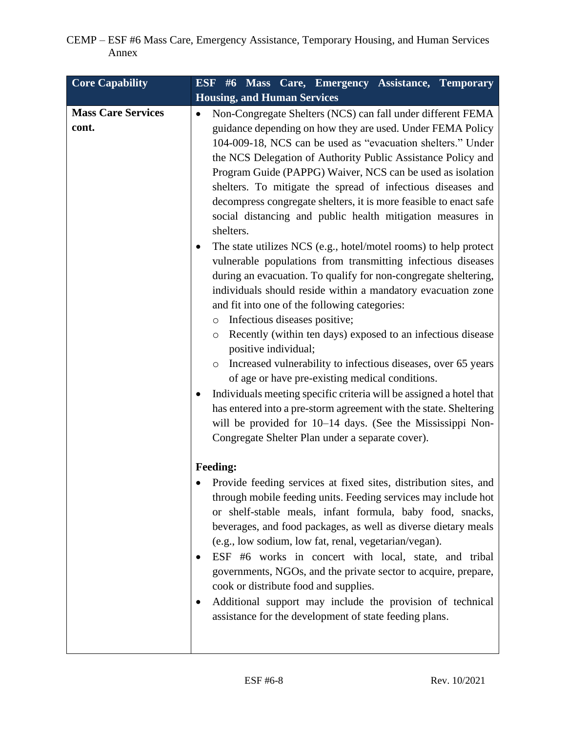| <b>Core Capability</b>             | ESF #6 Mass Care, Emergency Assistance, Temporary                                                                                                                                                                                                                                                                                                                                                                                                                                                                                                                                                                                                                                                                                                                                                                                                                                                                                                                                                                                                                                                                                                                                                                                                                                                                                                                                                        |
|------------------------------------|----------------------------------------------------------------------------------------------------------------------------------------------------------------------------------------------------------------------------------------------------------------------------------------------------------------------------------------------------------------------------------------------------------------------------------------------------------------------------------------------------------------------------------------------------------------------------------------------------------------------------------------------------------------------------------------------------------------------------------------------------------------------------------------------------------------------------------------------------------------------------------------------------------------------------------------------------------------------------------------------------------------------------------------------------------------------------------------------------------------------------------------------------------------------------------------------------------------------------------------------------------------------------------------------------------------------------------------------------------------------------------------------------------|
|                                    | <b>Housing, and Human Services</b>                                                                                                                                                                                                                                                                                                                                                                                                                                                                                                                                                                                                                                                                                                                                                                                                                                                                                                                                                                                                                                                                                                                                                                                                                                                                                                                                                                       |
| <b>Mass Care Services</b><br>cont. | Non-Congregate Shelters (NCS) can fall under different FEMA<br>guidance depending on how they are used. Under FEMA Policy<br>104-009-18, NCS can be used as "evacuation shelters." Under<br>the NCS Delegation of Authority Public Assistance Policy and<br>Program Guide (PAPPG) Waiver, NCS can be used as isolation<br>shelters. To mitigate the spread of infectious diseases and<br>decompress congregate shelters, it is more feasible to enact safe<br>social distancing and public health mitigation measures in<br>shelters.<br>The state utilizes NCS (e.g., hotel/motel rooms) to help protect<br>vulnerable populations from transmitting infectious diseases<br>during an evacuation. To qualify for non-congregate sheltering,<br>individuals should reside within a mandatory evacuation zone<br>and fit into one of the following categories:<br>Infectious diseases positive;<br>$\circ$<br>Recently (within ten days) exposed to an infectious disease<br>$\circ$<br>positive individual;<br>Increased vulnerability to infectious diseases, over 65 years<br>$\circ$<br>of age or have pre-existing medical conditions.<br>Individuals meeting specific criteria will be assigned a hotel that<br>has entered into a pre-storm agreement with the state. Sheltering<br>will be provided for 10–14 days. (See the Mississippi Non-<br>Congregate Shelter Plan under a separate cover). |
|                                    | <b>Feeding:</b><br>Provide feeding services at fixed sites, distribution sites, and<br>through mobile feeding units. Feeding services may include hot<br>or shelf-stable meals, infant formula, baby food, snacks,<br>beverages, and food packages, as well as diverse dietary meals<br>(e.g., low sodium, low fat, renal, vegetarian/vegan).<br>ESF #6 works in concert with local, state, and tribal<br>governments, NGOs, and the private sector to acquire, prepare,<br>cook or distribute food and supplies.<br>Additional support may include the provision of technical<br>assistance for the development of state feeding plans.                                                                                                                                                                                                                                                                                                                                                                                                                                                                                                                                                                                                                                                                                                                                                                 |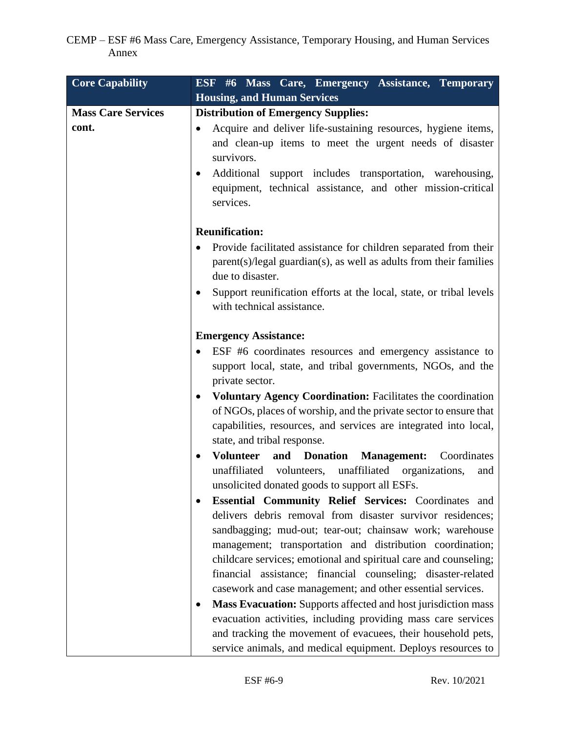| <b>Core Capability</b>    | ESF #6 Mass Care, Emergency Assistance, Temporary                                                                                                                                                                    |
|---------------------------|----------------------------------------------------------------------------------------------------------------------------------------------------------------------------------------------------------------------|
|                           | <b>Housing, and Human Services</b>                                                                                                                                                                                   |
| <b>Mass Care Services</b> | <b>Distribution of Emergency Supplies:</b>                                                                                                                                                                           |
| cont.                     | Acquire and deliver life-sustaining resources, hygiene items,<br>$\bullet$<br>and clean-up items to meet the urgent needs of disaster<br>survivors.<br>Additional support includes transportation, warehousing,<br>٠ |
|                           | equipment, technical assistance, and other mission-critical<br>services.                                                                                                                                             |
|                           | <b>Reunification:</b>                                                                                                                                                                                                |
|                           | Provide facilitated assistance for children separated from their<br>$\bullet$<br>$parent(s)/legal$ guardian $(s)$ , as well as adults from their families<br>due to disaster.                                        |
|                           | Support reunification efforts at the local, state, or tribal levels<br>$\bullet$<br>with technical assistance.                                                                                                       |
|                           | <b>Emergency Assistance:</b>                                                                                                                                                                                         |
|                           | ESF #6 coordinates resources and emergency assistance to<br>$\bullet$                                                                                                                                                |
|                           | support local, state, and tribal governments, NGOs, and the<br>private sector.                                                                                                                                       |
|                           | Voluntary Agency Coordination: Facilitates the coordination<br>$\bullet$                                                                                                                                             |
|                           | of NGOs, places of worship, and the private sector to ensure that                                                                                                                                                    |
|                           | capabilities, resources, and services are integrated into local,<br>state, and tribal response.                                                                                                                      |
|                           | <b>Volunteer</b><br>and Donation<br><b>Management:</b><br>Coordinates<br>$\bullet$                                                                                                                                   |
|                           | unaffiliated organizations,<br>unaffiliated volunteers,<br>and                                                                                                                                                       |
|                           | unsolicited donated goods to support all ESFs.<br>Essential Community Relief Services: Coordinates and<br>$\bullet$                                                                                                  |
|                           | delivers debris removal from disaster survivor residences;<br>sandbagging; mud-out; tear-out; chainsaw work; warehouse<br>management; transportation and distribution coordination;                                  |
|                           | childcare services; emotional and spiritual care and counseling;                                                                                                                                                     |
|                           | financial assistance; financial counseling; disaster-related                                                                                                                                                         |
|                           | casework and case management; and other essential services.                                                                                                                                                          |
|                           | Mass Evacuation: Supports affected and host jurisdiction mass<br>٠                                                                                                                                                   |
|                           | evacuation activities, including providing mass care services                                                                                                                                                        |
|                           | and tracking the movement of evacuees, their household pets,<br>service animals, and medical equipment. Deploys resources to                                                                                         |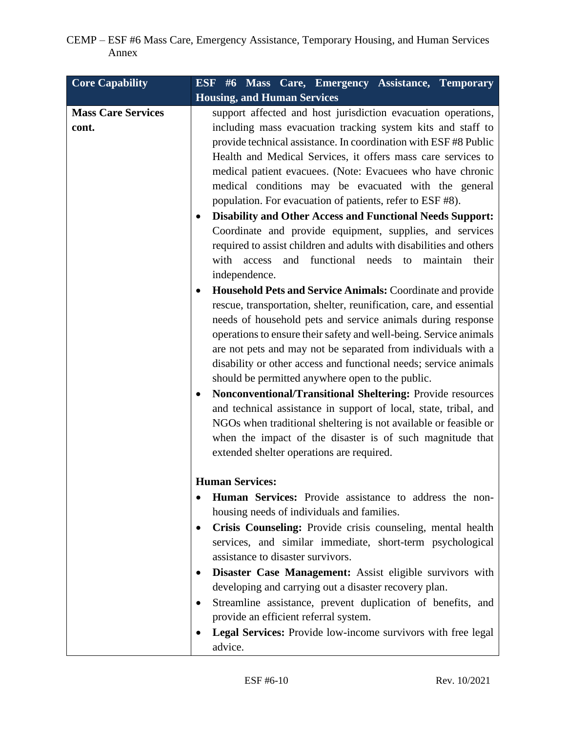| <b>Core Capability</b>             | ESF #6 Mass Care, Emergency Assistance, Temporary                                                                                                                                                                                                                                                                                                                                                                                                                                                                                                                                                                                                                                                                                                                                                                                                                                                                                                                                                                                                                                                                                                                                                                                                                                                                                                                                                                                                                                                                                           |
|------------------------------------|---------------------------------------------------------------------------------------------------------------------------------------------------------------------------------------------------------------------------------------------------------------------------------------------------------------------------------------------------------------------------------------------------------------------------------------------------------------------------------------------------------------------------------------------------------------------------------------------------------------------------------------------------------------------------------------------------------------------------------------------------------------------------------------------------------------------------------------------------------------------------------------------------------------------------------------------------------------------------------------------------------------------------------------------------------------------------------------------------------------------------------------------------------------------------------------------------------------------------------------------------------------------------------------------------------------------------------------------------------------------------------------------------------------------------------------------------------------------------------------------------------------------------------------------|
|                                    | <b>Housing, and Human Services</b>                                                                                                                                                                                                                                                                                                                                                                                                                                                                                                                                                                                                                                                                                                                                                                                                                                                                                                                                                                                                                                                                                                                                                                                                                                                                                                                                                                                                                                                                                                          |
| <b>Mass Care Services</b><br>cont. | support affected and host jurisdiction evacuation operations,<br>including mass evacuation tracking system kits and staff to<br>provide technical assistance. In coordination with ESF #8 Public<br>Health and Medical Services, it offers mass care services to<br>medical patient evacuees. (Note: Evacuees who have chronic<br>medical conditions may be evacuated with the general<br>population. For evacuation of patients, refer to ESF #8).<br><b>Disability and Other Access and Functional Needs Support:</b><br>Coordinate and provide equipment, supplies, and services<br>required to assist children and adults with disabilities and others<br>and functional needs to<br>with<br>access<br>maintain<br>their<br>independence.<br>Household Pets and Service Animals: Coordinate and provide<br>٠<br>rescue, transportation, shelter, reunification, care, and essential<br>needs of household pets and service animals during response<br>operations to ensure their safety and well-being. Service animals<br>are not pets and may not be separated from individuals with a<br>disability or other access and functional needs; service animals<br>should be permitted anywhere open to the public.<br><b>Nonconventional/Transitional Sheltering: Provide resources</b><br>and technical assistance in support of local, state, tribal, and<br>NGOs when traditional sheltering is not available or feasible or<br>when the impact of the disaster is of such magnitude that<br>extended shelter operations are required. |
|                                    | <b>Human Services:</b><br>Human Services: Provide assistance to address the non-<br>housing needs of individuals and families.<br>Crisis Counseling: Provide crisis counseling, mental health<br>٠<br>services, and similar immediate, short-term psychological<br>assistance to disaster survivors.<br>Disaster Case Management: Assist eligible survivors with<br>developing and carrying out a disaster recovery plan.<br>Streamline assistance, prevent duplication of benefits, and<br>provide an efficient referral system.<br>Legal Services: Provide low-income survivors with free legal<br>$\bullet$<br>advice.                                                                                                                                                                                                                                                                                                                                                                                                                                                                                                                                                                                                                                                                                                                                                                                                                                                                                                                   |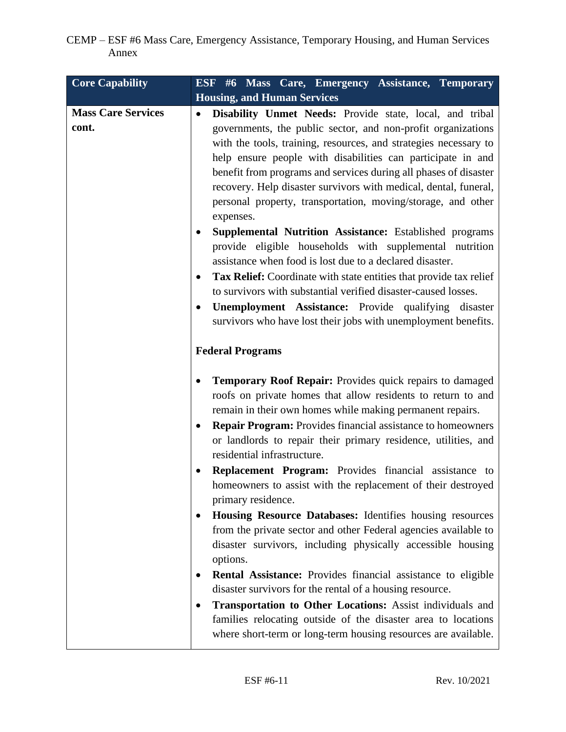| <b>Core Capability</b>             | ESF #6 Mass Care, Emergency Assistance, Temporary                                                                                                                                                                                                                                                                                                                                                                                                                                                                                                                                                                                                                                                                                                                                                                                                                                                                                                                                                                                                                           |
|------------------------------------|-----------------------------------------------------------------------------------------------------------------------------------------------------------------------------------------------------------------------------------------------------------------------------------------------------------------------------------------------------------------------------------------------------------------------------------------------------------------------------------------------------------------------------------------------------------------------------------------------------------------------------------------------------------------------------------------------------------------------------------------------------------------------------------------------------------------------------------------------------------------------------------------------------------------------------------------------------------------------------------------------------------------------------------------------------------------------------|
|                                    | <b>Housing, and Human Services</b>                                                                                                                                                                                                                                                                                                                                                                                                                                                                                                                                                                                                                                                                                                                                                                                                                                                                                                                                                                                                                                          |
| <b>Mass Care Services</b><br>cont. | Disability Unmet Needs: Provide state, local, and tribal<br>$\bullet$<br>governments, the public sector, and non-profit organizations<br>with the tools, training, resources, and strategies necessary to<br>help ensure people with disabilities can participate in and<br>benefit from programs and services during all phases of disaster<br>recovery. Help disaster survivors with medical, dental, funeral,<br>personal property, transportation, moving/storage, and other<br>expenses.<br><b>Supplemental Nutrition Assistance:</b> Established programs<br>provide eligible households with supplemental nutrition<br>assistance when food is lost due to a declared disaster.<br>Tax Relief: Coordinate with state entities that provide tax relief<br>to survivors with substantial verified disaster-caused losses.<br><b>Unemployment Assistance:</b> Provide qualifying disaster<br>survivors who have lost their jobs with unemployment benefits.<br><b>Federal Programs</b>                                                                                  |
|                                    | <b>Temporary Roof Repair:</b> Provides quick repairs to damaged<br>roofs on private homes that allow residents to return to and<br>remain in their own homes while making permanent repairs.<br><b>Repair Program:</b> Provides financial assistance to homeowners<br>or landlords to repair their primary residence, utilities, and<br>residential infrastructure.<br><b>Replacement Program:</b> Provides financial assistance to<br>homeowners to assist with the replacement of their destroyed<br>primary residence.<br>Housing Resource Databases: Identifies housing resources<br>from the private sector and other Federal agencies available to<br>disaster survivors, including physically accessible housing<br>options.<br><b>Rental Assistance:</b> Provides financial assistance to eligible<br>٠<br>disaster survivors for the rental of a housing resource.<br>Transportation to Other Locations: Assist individuals and<br>families relocating outside of the disaster area to locations<br>where short-term or long-term housing resources are available. |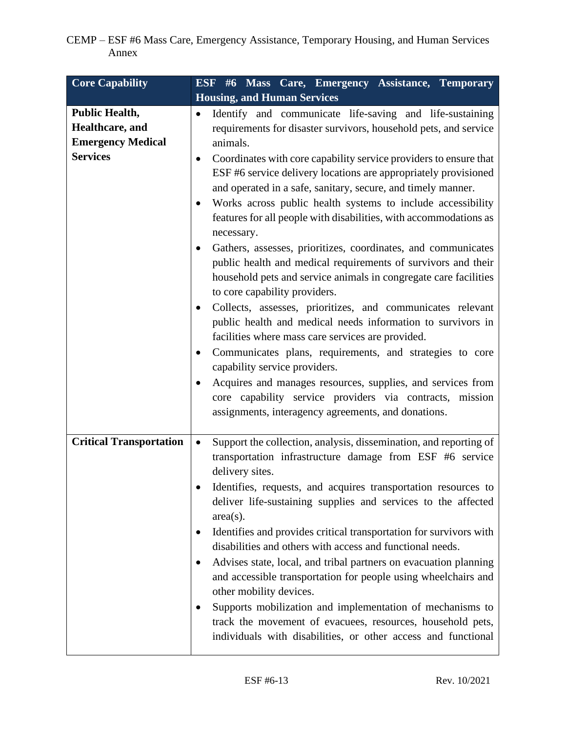| <b>Core Capability</b>                                                                  | ESF #6 Mass Care, Emergency Assistance, Temporary                                                                                                                                                                                                                                                                                                                                                                                                                                                                                                                                                                                                                                                                                                                                                                            |
|-----------------------------------------------------------------------------------------|------------------------------------------------------------------------------------------------------------------------------------------------------------------------------------------------------------------------------------------------------------------------------------------------------------------------------------------------------------------------------------------------------------------------------------------------------------------------------------------------------------------------------------------------------------------------------------------------------------------------------------------------------------------------------------------------------------------------------------------------------------------------------------------------------------------------------|
|                                                                                         | <b>Housing, and Human Services</b>                                                                                                                                                                                                                                                                                                                                                                                                                                                                                                                                                                                                                                                                                                                                                                                           |
| <b>Public Health,</b><br>Healthcare, and<br><b>Emergency Medical</b><br><b>Services</b> | Identify and communicate life-saving and life-sustaining<br>٠<br>requirements for disaster survivors, household pets, and service<br>animals.<br>Coordinates with core capability service providers to ensure that<br>ESF #6 service delivery locations are appropriately provisioned<br>and operated in a safe, sanitary, secure, and timely manner.<br>Works across public health systems to include accessibility                                                                                                                                                                                                                                                                                                                                                                                                         |
|                                                                                         | features for all people with disabilities, with accommodations as<br>necessary.<br>Gathers, assesses, prioritizes, coordinates, and communicates<br>public health and medical requirements of survivors and their<br>household pets and service animals in congregate care facilities<br>to core capability providers.<br>Collects, assesses, prioritizes, and communicates relevant<br>public health and medical needs information to survivors in<br>facilities where mass care services are provided.<br>Communicates plans, requirements, and strategies to core<br>٠<br>capability service providers.<br>Acquires and manages resources, supplies, and services from<br>core capability service providers via contracts, mission<br>assignments, interagency agreements, and donations.                                 |
| <b>Critical Transportation</b>                                                          | Support the collection, analysis, dissemination, and reporting of<br>$\bullet$<br>transportation infrastructure damage from ESF #6 service<br>delivery sites.<br>Identifies, requests, and acquires transportation resources to<br>deliver life-sustaining supplies and services to the affected<br>$area(s)$ .<br>Identifies and provides critical transportation for survivors with<br>$\bullet$<br>disabilities and others with access and functional needs.<br>Advises state, local, and tribal partners on evacuation planning<br>and accessible transportation for people using wheelchairs and<br>other mobility devices.<br>Supports mobilization and implementation of mechanisms to<br>track the movement of evacuees, resources, household pets,<br>individuals with disabilities, or other access and functional |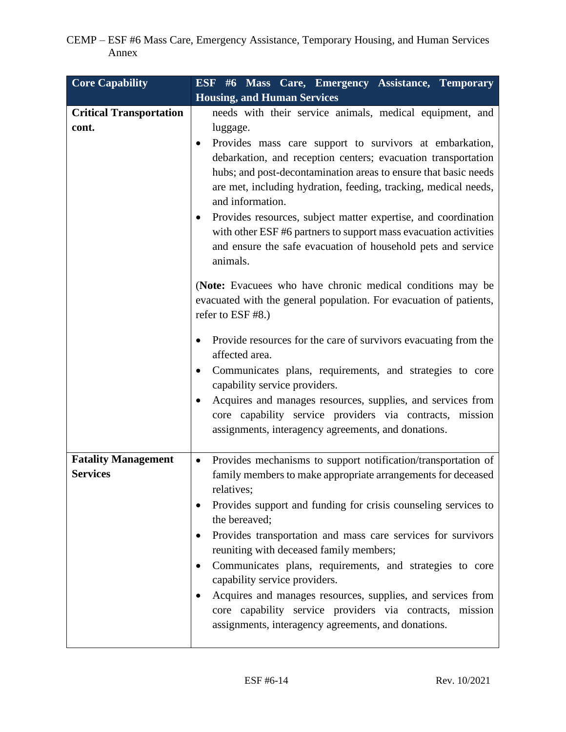| <b>Core Capability</b>                        | ESF #6 Mass Care, Emergency Assistance, Temporary                                                                                                                                                                                                                                                                                                                                                                                                                                                                                                                                                                                     |
|-----------------------------------------------|---------------------------------------------------------------------------------------------------------------------------------------------------------------------------------------------------------------------------------------------------------------------------------------------------------------------------------------------------------------------------------------------------------------------------------------------------------------------------------------------------------------------------------------------------------------------------------------------------------------------------------------|
|                                               | <b>Housing, and Human Services</b>                                                                                                                                                                                                                                                                                                                                                                                                                                                                                                                                                                                                    |
| <b>Critical Transportation</b><br>cont.       | needs with their service animals, medical equipment, and<br>luggage.<br>Provides mass care support to survivors at embarkation,<br>debarkation, and reception centers; evacuation transportation<br>hubs; and post-decontamination areas to ensure that basic needs<br>are met, including hydration, feeding, tracking, medical needs,<br>and information.<br>Provides resources, subject matter expertise, and coordination<br>with other ESF #6 partners to support mass evacuation activities<br>and ensure the safe evacuation of household pets and service<br>animals.                                                          |
|                                               | (Note: Evacuees who have chronic medical conditions may be<br>evacuated with the general population. For evacuation of patients,<br>refer to ESF #8.)<br>Provide resources for the care of survivors evacuating from the<br>affected area.<br>Communicates plans, requirements, and strategies to core<br>capability service providers.<br>Acquires and manages resources, supplies, and services from<br>core capability service providers via contracts, mission<br>assignments, interagency agreements, and donations.                                                                                                             |
| <b>Fatality Management</b><br><b>Services</b> | Provides mechanisms to support notification/transportation of<br>$\bullet$<br>family members to make appropriate arrangements for deceased<br>relatives;<br>Provides support and funding for crisis counseling services to<br>the bereaved;<br>Provides transportation and mass care services for survivors<br>reuniting with deceased family members;<br>Communicates plans, requirements, and strategies to core<br>capability service providers.<br>Acquires and manages resources, supplies, and services from<br>core capability service providers via contracts, mission<br>assignments, interagency agreements, and donations. |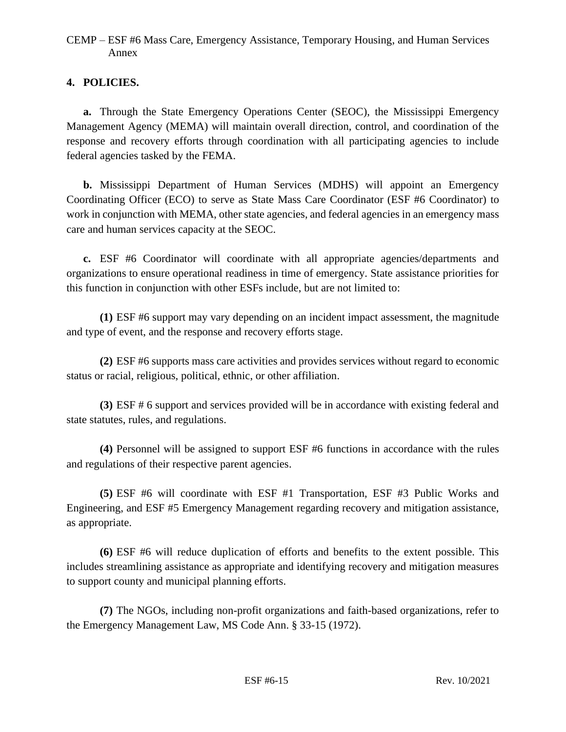## **4. POLICIES.**

**a.** Through the State Emergency Operations Center (SEOC), the Mississippi Emergency Management Agency (MEMA) will maintain overall direction, control, and coordination of the response and recovery efforts through coordination with all participating agencies to include federal agencies tasked by the FEMA.

**b.** Mississippi Department of Human Services (MDHS) will appoint an Emergency Coordinating Officer (ECO) to serve as State Mass Care Coordinator (ESF #6 Coordinator) to work in conjunction with MEMA, other state agencies, and federal agencies in an emergency mass care and human services capacity at the SEOC.

**c.** ESF #6 Coordinator will coordinate with all appropriate agencies/departments and organizations to ensure operational readiness in time of emergency. State assistance priorities for this function in conjunction with other ESFs include, but are not limited to:

**(1)** ESF #6 support may vary depending on an incident impact assessment, the magnitude and type of event, and the response and recovery efforts stage.

**(2)** ESF #6 supports mass care activities and provides services without regard to economic status or racial, religious, political, ethnic, or other affiliation.

**(3)** ESF # 6 support and services provided will be in accordance with existing federal and state statutes, rules, and regulations.

**(4)** Personnel will be assigned to support ESF #6 functions in accordance with the rules and regulations of their respective parent agencies.

**(5)** ESF #6 will coordinate with ESF #1 Transportation, ESF #3 Public Works and Engineering, and ESF #5 Emergency Management regarding recovery and mitigation assistance, as appropriate.

**(6)** ESF #6 will reduce duplication of efforts and benefits to the extent possible. This includes streamlining assistance as appropriate and identifying recovery and mitigation measures to support county and municipal planning efforts.

**(7)** The NGOs, including non-profit organizations and faith-based organizations, refer to the Emergency Management Law, MS Code Ann. § 33-15 (1972).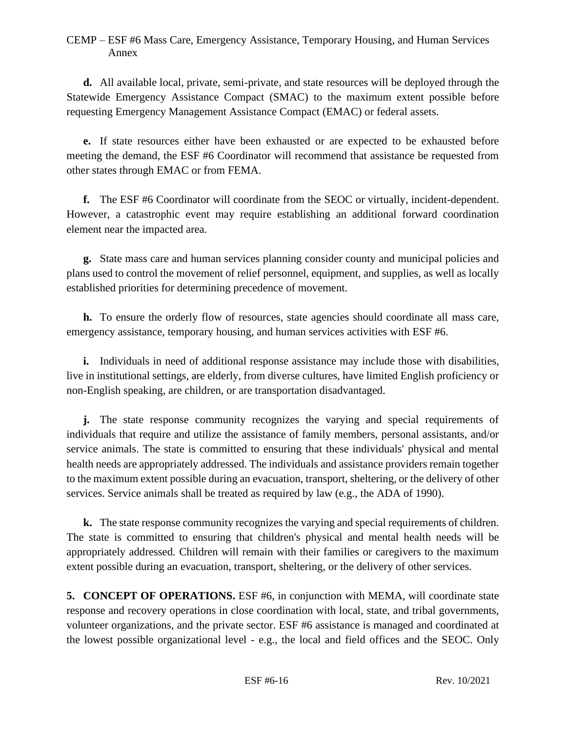**d.** All available local, private, semi-private, and state resources will be deployed through the Statewide Emergency Assistance Compact (SMAC) to the maximum extent possible before requesting Emergency Management Assistance Compact (EMAC) or federal assets.

**e.** If state resources either have been exhausted or are expected to be exhausted before meeting the demand, the ESF #6 Coordinator will recommend that assistance be requested from other states through EMAC or from FEMA.

**f.** The ESF #6 Coordinator will coordinate from the SEOC or virtually, incident-dependent. However, a catastrophic event may require establishing an additional forward coordination element near the impacted area.

**g.** State mass care and human services planning consider county and municipal policies and plans used to control the movement of relief personnel, equipment, and supplies, as well as locally established priorities for determining precedence of movement.

**h.** To ensure the orderly flow of resources, state agencies should coordinate all mass care, emergency assistance, temporary housing, and human services activities with ESF #6.

**i.** Individuals in need of additional response assistance may include those with disabilities, live in institutional settings, are elderly, from diverse cultures, have limited English proficiency or non-English speaking, are children, or are transportation disadvantaged.

**j.** The state response community recognizes the varying and special requirements of individuals that require and utilize the assistance of family members, personal assistants, and/or service animals. The state is committed to ensuring that these individuals' physical and mental health needs are appropriately addressed. The individuals and assistance providers remain together to the maximum extent possible during an evacuation, transport, sheltering, or the delivery of other services. Service animals shall be treated as required by law (e.g., the ADA of 1990).

**k.** The state response community recognizes the varying and special requirements of children. The state is committed to ensuring that children's physical and mental health needs will be appropriately addressed. Children will remain with their families or caregivers to the maximum extent possible during an evacuation, transport, sheltering, or the delivery of other services.

**5. CONCEPT OF OPERATIONS.** ESF #6, in conjunction with MEMA, will coordinate state response and recovery operations in close coordination with local, state, and tribal governments, volunteer organizations, and the private sector. ESF #6 assistance is managed and coordinated at the lowest possible organizational level - e.g., the local and field offices and the SEOC. Only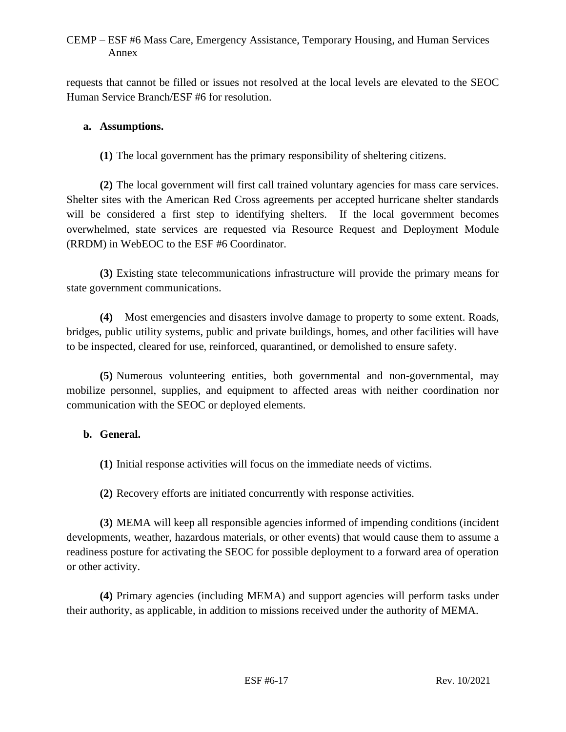requests that cannot be filled or issues not resolved at the local levels are elevated to the SEOC Human Service Branch/ESF #6 for resolution.

### **a. Assumptions.**

**(1)** The local government has the primary responsibility of sheltering citizens.

**(2)** The local government will first call trained voluntary agencies for mass care services. Shelter sites with the American Red Cross agreements per accepted hurricane shelter standards will be considered a first step to identifying shelters. If the local government becomes overwhelmed, state services are requested via Resource Request and Deployment Module (RRDM) in WebEOC to the ESF #6 Coordinator.

**(3)** Existing state telecommunications infrastructure will provide the primary means for state government communications.

**(4)** Most emergencies and disasters involve damage to property to some extent. Roads, bridges, public utility systems, public and private buildings, homes, and other facilities will have to be inspected, cleared for use, reinforced, quarantined, or demolished to ensure safety.

**(5)** Numerous volunteering entities, both governmental and non-governmental, may mobilize personnel, supplies, and equipment to affected areas with neither coordination nor communication with the SEOC or deployed elements.

### **b. General.**

**(1)** Initial response activities will focus on the immediate needs of victims.

**(2)** Recovery efforts are initiated concurrently with response activities.

**(3)** MEMA will keep all responsible agencies informed of impending conditions (incident developments, weather, hazardous materials, or other events) that would cause them to assume a readiness posture for activating the SEOC for possible deployment to a forward area of operation or other activity.

**(4)** Primary agencies (including MEMA) and support agencies will perform tasks under their authority, as applicable, in addition to missions received under the authority of MEMA.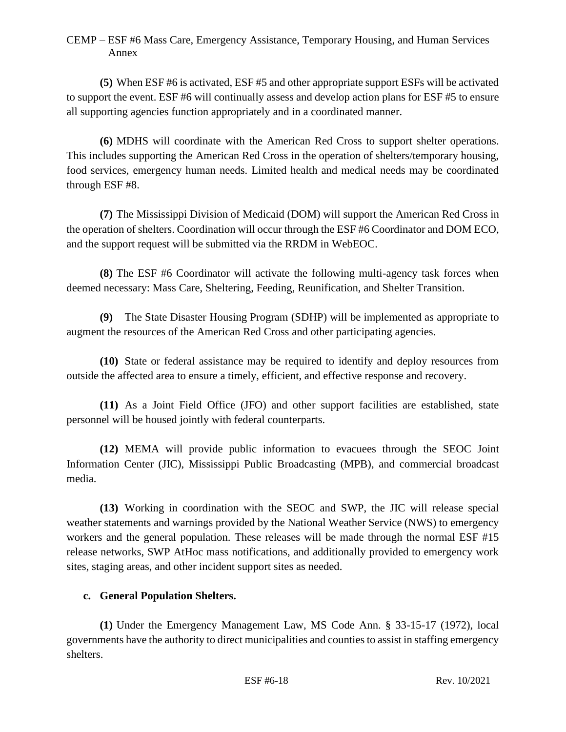**(5)** When ESF #6 is activated, ESF #5 and other appropriate support ESFs will be activated to support the event. ESF #6 will continually assess and develop action plans for ESF #5 to ensure all supporting agencies function appropriately and in a coordinated manner.

**(6)** MDHS will coordinate with the American Red Cross to support shelter operations. This includes supporting the American Red Cross in the operation of shelters/temporary housing, food services, emergency human needs. Limited health and medical needs may be coordinated through ESF #8.

**(7)** The Mississippi Division of Medicaid (DOM) will support the American Red Cross in the operation of shelters. Coordination will occur through the ESF #6 Coordinator and DOM ECO, and the support request will be submitted via the RRDM in WebEOC.

**(8)** The ESF #6 Coordinator will activate the following multi-agency task forces when deemed necessary: Mass Care, Sheltering, Feeding, Reunification, and Shelter Transition.

**(9)** The State Disaster Housing Program (SDHP) will be implemented as appropriate to augment the resources of the American Red Cross and other participating agencies.

**(10)** State or federal assistance may be required to identify and deploy resources from outside the affected area to ensure a timely, efficient, and effective response and recovery.

**(11)** As a Joint Field Office (JFO) and other support facilities are established, state personnel will be housed jointly with federal counterparts.

**(12)** MEMA will provide public information to evacuees through the SEOC Joint Information Center (JIC), Mississippi Public Broadcasting (MPB), and commercial broadcast media.

**(13)** Working in coordination with the SEOC and SWP, the JIC will release special weather statements and warnings provided by the National Weather Service (NWS) to emergency workers and the general population. These releases will be made through the normal ESF #15 release networks, SWP AtHoc mass notifications, and additionally provided to emergency work sites, staging areas, and other incident support sites as needed.

### **c. General Population Shelters.**

**(1)** Under the Emergency Management Law, MS Code Ann. § 33-15-17 (1972), local governments have the authority to direct municipalities and counties to assist in staffing emergency shelters.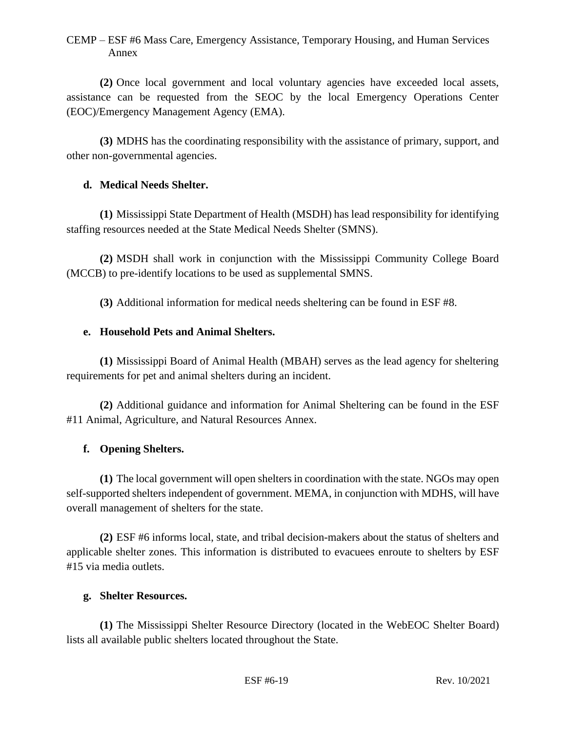**(2)** Once local government and local voluntary agencies have exceeded local assets, assistance can be requested from the SEOC by the local Emergency Operations Center (EOC)/Emergency Management Agency (EMA).

**(3)** MDHS has the coordinating responsibility with the assistance of primary, support, and other non-governmental agencies.

### **d. Medical Needs Shelter.**

**(1)** Mississippi State Department of Health (MSDH) has lead responsibility for identifying staffing resources needed at the State Medical Needs Shelter (SMNS).

**(2)** MSDH shall work in conjunction with the Mississippi Community College Board (MCCB) to pre-identify locations to be used as supplemental SMNS.

**(3)** Additional information for medical needs sheltering can be found in ESF #8.

## **e. Household Pets and Animal Shelters.**

**(1)** Mississippi Board of Animal Health (MBAH) serves as the lead agency for sheltering requirements for pet and animal shelters during an incident.

**(2)** Additional guidance and information for Animal Sheltering can be found in the ESF #11 Animal, Agriculture, and Natural Resources Annex.

## **f. Opening Shelters.**

**(1)** The local government will open shelters in coordination with the state. NGOs may open self-supported shelters independent of government. MEMA, in conjunction with MDHS, will have overall management of shelters for the state.

**(2)** ESF #6 informs local, state, and tribal decision-makers about the status of shelters and applicable shelter zones. This information is distributed to evacuees enroute to shelters by ESF #15 via media outlets.

### **g. Shelter Resources.**

**(1)** The Mississippi Shelter Resource Directory (located in the WebEOC Shelter Board) lists all available public shelters located throughout the State.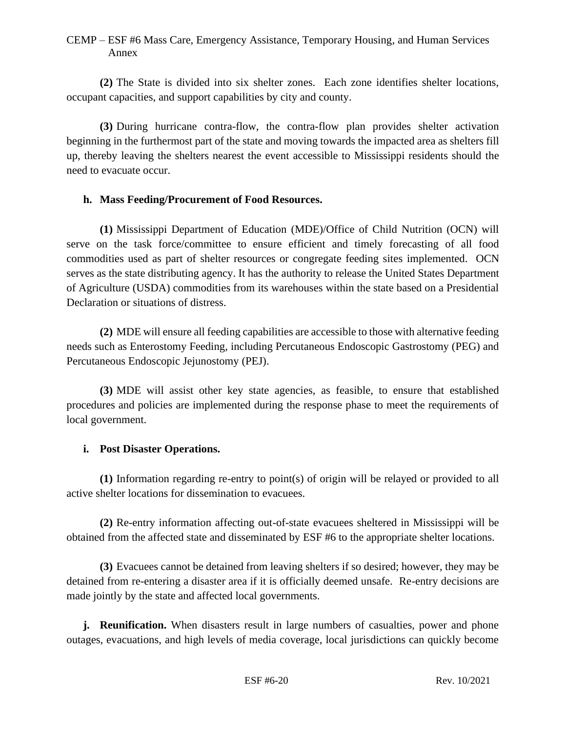**(2)** The State is divided into six shelter zones. Each zone identifies shelter locations, occupant capacities, and support capabilities by city and county.

**(3)** During hurricane contra-flow, the contra-flow plan provides shelter activation beginning in the furthermost part of the state and moving towards the impacted area as shelters fill up, thereby leaving the shelters nearest the event accessible to Mississippi residents should the need to evacuate occur.

### **h. Mass Feeding/Procurement of Food Resources.**

**(1)** Mississippi Department of Education (MDE)/Office of Child Nutrition (OCN) will serve on the task force/committee to ensure efficient and timely forecasting of all food commodities used as part of shelter resources or congregate feeding sites implemented. OCN serves as the state distributing agency. It has the authority to release the United States Department of Agriculture (USDA) commodities from its warehouses within the state based on a Presidential Declaration or situations of distress.

**(2)** MDE will ensure all feeding capabilities are accessible to those with alternative feeding needs such as Enterostomy Feeding, including Percutaneous Endoscopic Gastrostomy (PEG) and Percutaneous Endoscopic Jejunostomy (PEJ).

**(3)** MDE will assist other key state agencies, as feasible, to ensure that established procedures and policies are implemented during the response phase to meet the requirements of local government.

### **i. Post Disaster Operations.**

**(1)** Information regarding re-entry to point(s) of origin will be relayed or provided to all active shelter locations for dissemination to evacuees.

**(2)** Re-entry information affecting out-of-state evacuees sheltered in Mississippi will be obtained from the affected state and disseminated by ESF #6 to the appropriate shelter locations.

**(3)** Evacuees cannot be detained from leaving shelters if so desired; however, they may be detained from re-entering a disaster area if it is officially deemed unsafe. Re-entry decisions are made jointly by the state and affected local governments.

**j. Reunification.** When disasters result in large numbers of casualties, power and phone outages, evacuations, and high levels of media coverage, local jurisdictions can quickly become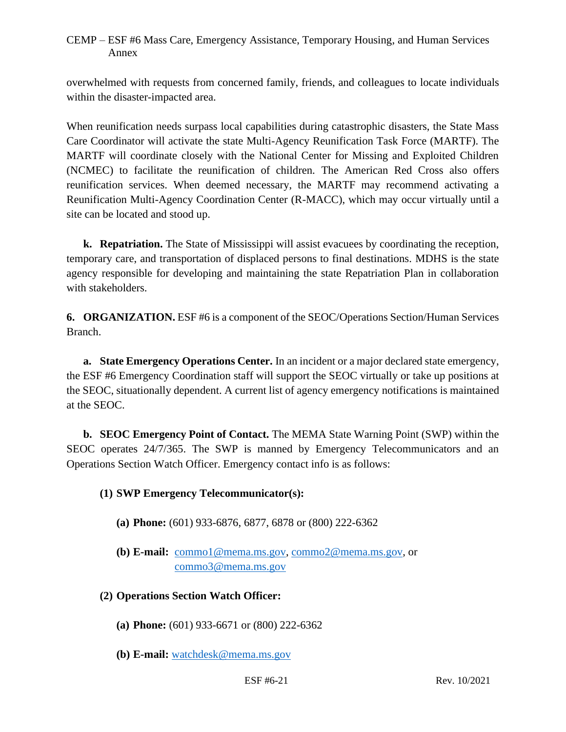overwhelmed with requests from concerned family, friends, and colleagues to locate individuals within the disaster-impacted area.

When reunification needs surpass local capabilities during catastrophic disasters, the State Mass Care Coordinator will activate the state Multi-Agency Reunification Task Force (MARTF). The MARTF will coordinate closely with the National Center for Missing and Exploited Children (NCMEC) to facilitate the reunification of children. The American Red Cross also offers reunification services. When deemed necessary, the MARTF may recommend activating a Reunification Multi-Agency Coordination Center (R-MACC), which may occur virtually until a site can be located and stood up.

**k. Repatriation.** The State of Mississippi will assist evacuees by coordinating the reception, temporary care, and transportation of displaced persons to final destinations. MDHS is the state agency responsible for developing and maintaining the state Repatriation Plan in collaboration with stakeholders.

**6. ORGANIZATION.** ESF #6 is a component of the SEOC/Operations Section/Human Services Branch.

**a. State Emergency Operations Center.** In an incident or a major declared state emergency, the ESF #6 Emergency Coordination staff will support the SEOC virtually or take up positions at the SEOC, situationally dependent. A current list of agency emergency notifications is maintained at the SEOC.

**b. SEOC Emergency Point of Contact.** The MEMA State Warning Point (SWP) within the SEOC operates 24/7/365. The SWP is manned by Emergency Telecommunicators and an Operations Section Watch Officer. Emergency contact info is as follows:

### **(1) SWP Emergency Telecommunicator(s):**

- **(a) Phone:** (601) 933-6876, 6877, 6878 or (800) 222-6362
- **(b) E-mail:** [commo1@mema.ms.gov,](mailto:commo1@mema.ms.gov) [commo2@mema.ms.gov,](mailto:commo2@mema.ms.gov) or [commo3@mema.ms.gov](mailto:commo3@mema.ms.gov)
- **(2) Operations Section Watch Officer:**
	- **(a) Phone:** (601) 933-6671 or (800) 222-6362
	- **(b) E-mail:** [watchdesk@mema.ms.gov](mailto:watchdesk@mema.ms.gov)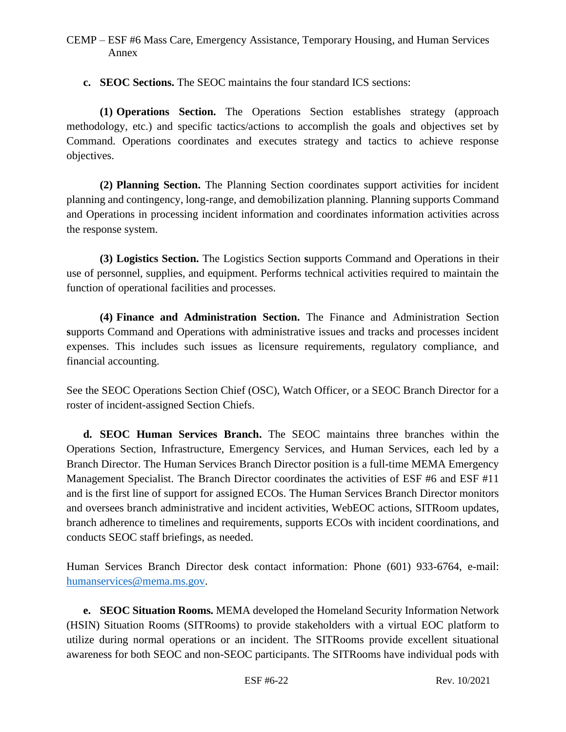**c. SEOC Sections.** The SEOC maintains the four standard ICS sections:

**(1) Operations Section.** The Operations Section establishes strategy (approach methodology, etc.) and specific tactics/actions to accomplish the goals and objectives set by Command. Operations coordinates and executes strategy and tactics to achieve response objectives.

**(2) Planning Section.** The Planning Section coordinates support activities for incident planning and contingency, long-range, and demobilization planning. Planning supports Command and Operations in processing incident information and coordinates information activities across the response system.

**(3) Logistics Section.** The Logistics Section **s**upports Command and Operations in their use of personnel, supplies, and equipment. Performs technical activities required to maintain the function of operational facilities and processes.

**(4) Finance and Administration Section.** The Finance and Administration Section **s**upports Command and Operations with administrative issues and tracks and processes incident expenses. This includes such issues as licensure requirements, regulatory compliance, and financial accounting.

See the SEOC Operations Section Chief (OSC), Watch Officer, or a SEOC Branch Director for a roster of incident-assigned Section Chiefs.

**d. SEOC Human Services Branch.** The SEOC maintains three branches within the Operations Section, Infrastructure, Emergency Services, and Human Services, each led by a Branch Director. The Human Services Branch Director position is a full-time MEMA Emergency Management Specialist. The Branch Director coordinates the activities of ESF #6 and ESF #11 and is the first line of support for assigned ECOs. The Human Services Branch Director monitors and oversees branch administrative and incident activities, WebEOC actions, SITRoom updates, branch adherence to timelines and requirements, supports ECOs with incident coordinations, and conducts SEOC staff briefings, as needed.

Human Services Branch Director desk contact information: Phone (601) 933-6764, e-mail: [humanservices@mema.ms.gov.](mailto:humanservices@mema.ms.gov)

**e. SEOC Situation Rooms.** MEMA developed the Homeland Security Information Network (HSIN) Situation Rooms (SITRooms) to provide stakeholders with a virtual EOC platform to utilize during normal operations or an incident. The SITRooms provide excellent situational awareness for both SEOC and non-SEOC participants. The SITRooms have individual pods with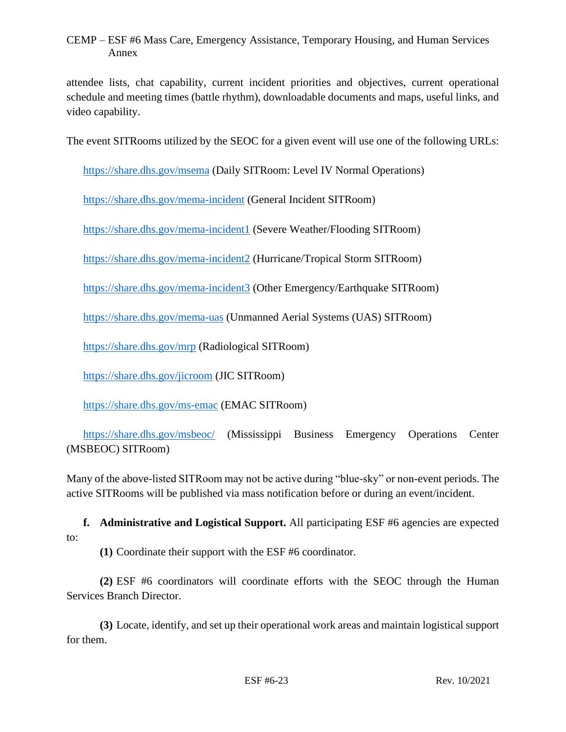attendee lists, chat capability, current incident priorities and objectives, current operational schedule and meeting times (battle rhythm), downloadable documents and maps, useful links, and video capability.

The event SITRooms utilized by the SEOC for a given event will use one of the following URLs:

<https://share.dhs.gov/msema> (Daily SITRoom: Level IV Normal Operations)

<https://share.dhs.gov/mema-incident> (General Incident SITRoom)

<https://share.dhs.gov/mema-incident1> (Severe Weather/Flooding SITRoom)

<https://share.dhs.gov/mema-incident2> (Hurricane/Tropical Storm SITRoom)

<https://share.dhs.gov/mema-incident3> (Other Emergency/Earthquake SITRoom)

<https://share.dhs.gov/mema-uas> (Unmanned Aerial Systems (UAS) SITRoom)

<https://share.dhs.gov/mrp> (Radiological SITRoom)

<https://share.dhs.gov/jicroom> (JIC SITRoom)

<https://share.dhs.gov/ms-emac> (EMAC SITRoom)

<https://share.dhs.gov/msbeoc/> (Mississippi Business Emergency Operations Center (MSBEOC) SITRoom)

Many of the above-listed SITRoom may not be active during "blue-sky" or non-event periods. The active SITRooms will be published via mass notification before or during an event/incident.

**f. Administrative and Logistical Support.** All participating ESF #6 agencies are expected to:

**(1)** Coordinate their support with the ESF #6 coordinator.

**(2)** ESF #6 coordinators will coordinate efforts with the SEOC through the Human Services Branch Director.

**(3)** Locate, identify, and set up their operational work areas and maintain logistical support for them.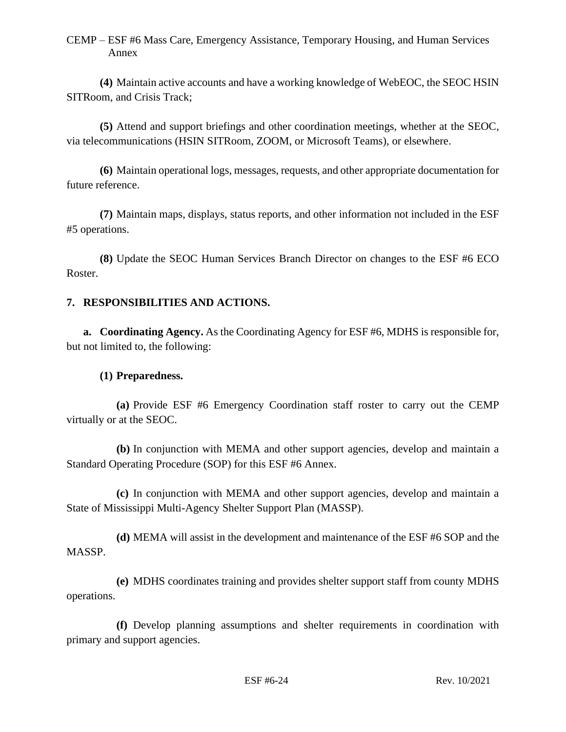**(4)** Maintain active accounts and have a working knowledge of WebEOC, the SEOC HSIN SITRoom, and Crisis Track;

**(5)** Attend and support briefings and other coordination meetings, whether at the SEOC, via telecommunications (HSIN SITRoom, ZOOM, or Microsoft Teams), or elsewhere.

**(6)** Maintain operational logs, messages, requests, and other appropriate documentation for future reference.

**(7)** Maintain maps, displays, status reports, and other information not included in the ESF #5 operations.

**(8)** Update the SEOC Human Services Branch Director on changes to the ESF #6 ECO Roster.

### **7. RESPONSIBILITIES AND ACTIONS.**

**a. Coordinating Agency.** As the Coordinating Agency for ESF #6, MDHS is responsible for, but not limited to, the following:

#### **(1) Preparedness.**

**(a)** Provide ESF #6 Emergency Coordination staff roster to carry out the CEMP virtually or at the SEOC.

**(b)** In conjunction with MEMA and other support agencies, develop and maintain a Standard Operating Procedure (SOP) for this ESF #6 Annex.

**(c)** In conjunction with MEMA and other support agencies, develop and maintain a State of Mississippi Multi-Agency Shelter Support Plan (MASSP).

**(d)** MEMA will assist in the development and maintenance of the ESF #6 SOP and the MASSP.

**(e)** MDHS coordinates training and provides shelter support staff from county MDHS operations.

**(f)** Develop planning assumptions and shelter requirements in coordination with primary and support agencies.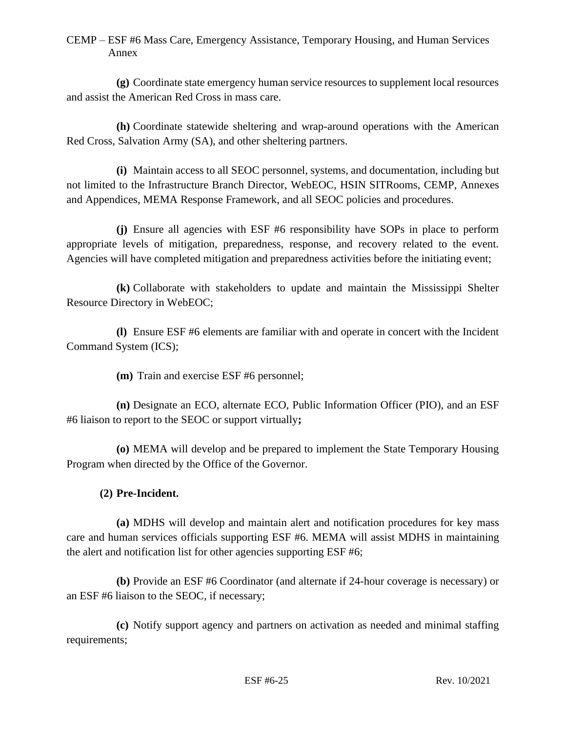**(g)** Coordinate state emergency human service resources to supplement local resources and assist the American Red Cross in mass care.

**(h)** Coordinate statewide sheltering and wrap-around operations with the American Red Cross, Salvation Army (SA), and other sheltering partners.

**(i)** Maintain access to all SEOC personnel, systems, and documentation, including but not limited to the Infrastructure Branch Director, WebEOC, HSIN SITRooms, CEMP, Annexes and Appendices, MEMA Response Framework, and all SEOC policies and procedures.

**(j)** Ensure all agencies with ESF #6 responsibility have SOPs in place to perform appropriate levels of mitigation, preparedness, response, and recovery related to the event. Agencies will have completed mitigation and preparedness activities before the initiating event;

**(k)** Collaborate with stakeholders to update and maintain the Mississippi Shelter Resource Directory in WebEOC;

**(l)** Ensure ESF #6 elements are familiar with and operate in concert with the Incident Command System (ICS);

**(m)** Train and exercise ESF #6 personnel;

**(n)** Designate an ECO, alternate ECO, Public Information Officer (PIO), and an ESF #6 liaison to report to the SEOC or support virtually**;**

**(o)** MEMA will develop and be prepared to implement the State Temporary Housing Program when directed by the Office of the Governor.

### **(2) Pre-Incident.**

**(a)** MDHS will develop and maintain alert and notification procedures for key mass care and human services officials supporting ESF #6. MEMA will assist MDHS in maintaining the alert and notification list for other agencies supporting ESF #6;

**(b)** Provide an ESF #6 Coordinator (and alternate if 24-hour coverage is necessary) or an ESF #6 liaison to the SEOC, if necessary;

**(c)** Notify support agency and partners on activation as needed and minimal staffing requirements;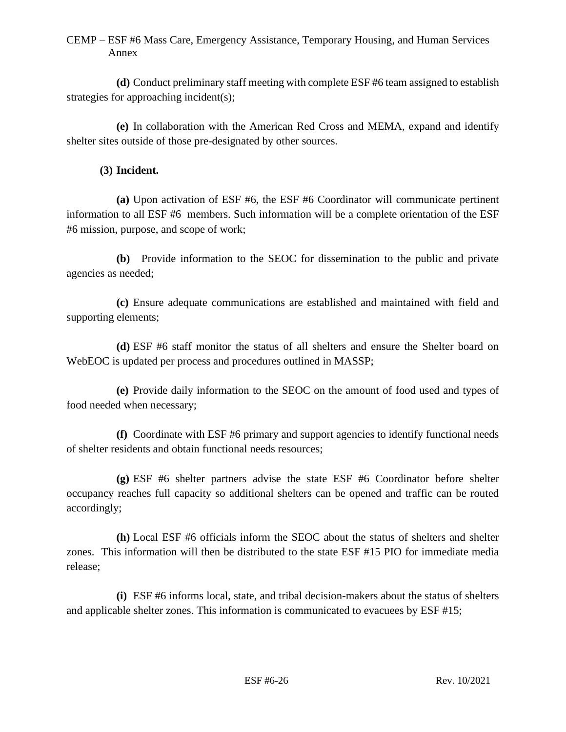**(d)** Conduct preliminary staff meeting with complete ESF #6 team assigned to establish strategies for approaching incident(s);

**(e)** In collaboration with the American Red Cross and MEMA, expand and identify shelter sites outside of those pre-designated by other sources.

## **(3) Incident.**

**(a)** Upon activation of ESF #6, the ESF #6 Coordinator will communicate pertinent information to all ESF #6 members. Such information will be a complete orientation of the ESF #6 mission, purpose, and scope of work;

**(b)** Provide information to the SEOC for dissemination to the public and private agencies as needed;

**(c)** Ensure adequate communications are established and maintained with field and supporting elements;

**(d)** ESF #6 staff monitor the status of all shelters and ensure the Shelter board on WebEOC is updated per process and procedures outlined in MASSP;

**(e)** Provide daily information to the SEOC on the amount of food used and types of food needed when necessary;

**(f)** Coordinate with ESF #6 primary and support agencies to identify functional needs of shelter residents and obtain functional needs resources;

**(g)** ESF #6 shelter partners advise the state ESF #6 Coordinator before shelter occupancy reaches full capacity so additional shelters can be opened and traffic can be routed accordingly;

**(h)** Local ESF #6 officials inform the SEOC about the status of shelters and shelter zones. This information will then be distributed to the state ESF #15 PIO for immediate media release;

**(i)** ESF #6 informs local, state, and tribal decision-makers about the status of shelters and applicable shelter zones. This information is communicated to evacuees by ESF #15;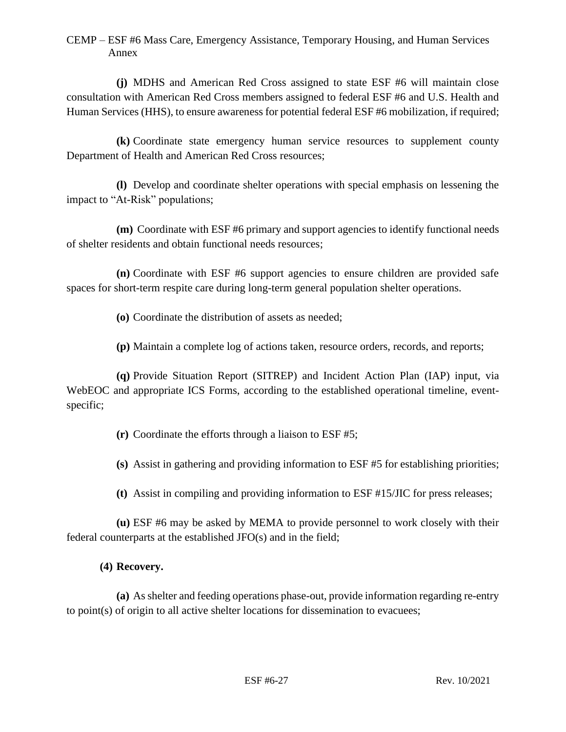**(j)** MDHS and American Red Cross assigned to state ESF #6 will maintain close consultation with American Red Cross members assigned to federal ESF #6 and U.S. Health and Human Services (HHS), to ensure awareness for potential federal ESF #6 mobilization, if required;

**(k)** Coordinate state emergency human service resources to supplement county Department of Health and American Red Cross resources;

**(l)** Develop and coordinate shelter operations with special emphasis on lessening the impact to "At-Risk" populations;

**(m)** Coordinate with ESF #6 primary and support agencies to identify functional needs of shelter residents and obtain functional needs resources;

**(n)** Coordinate with ESF #6 support agencies to ensure children are provided safe spaces for short-term respite care during long-term general population shelter operations.

**(o)** Coordinate the distribution of assets as needed;

**(p)** Maintain a complete log of actions taken, resource orders, records, and reports;

**(q)** Provide Situation Report (SITREP) and Incident Action Plan (IAP) input, via WebEOC and appropriate ICS Forms, according to the established operational timeline, eventspecific;

**(r)** Coordinate the efforts through a liaison to ESF #5;

**(s)** Assist in gathering and providing information to ESF #5 for establishing priorities;

**(t)** Assist in compiling and providing information to ESF #15/JIC for press releases;

**(u)** ESF #6 may be asked by MEMA to provide personnel to work closely with their federal counterparts at the established JFO(s) and in the field;

## **(4) Recovery.**

**(a)** As shelter and feeding operations phase-out, provide information regarding re-entry to point(s) of origin to all active shelter locations for dissemination to evacuees;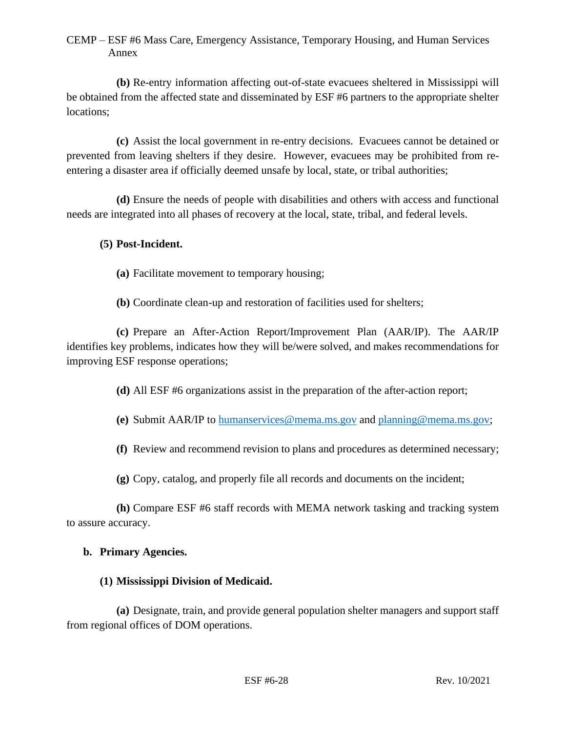**(b)** Re-entry information affecting out-of-state evacuees sheltered in Mississippi will be obtained from the affected state and disseminated by ESF #6 partners to the appropriate shelter locations;

**(c)** Assist the local government in re-entry decisions. Evacuees cannot be detained or prevented from leaving shelters if they desire. However, evacuees may be prohibited from reentering a disaster area if officially deemed unsafe by local, state, or tribal authorities;

**(d)** Ensure the needs of people with disabilities and others with access and functional needs are integrated into all phases of recovery at the local, state, tribal, and federal levels.

## **(5) Post-Incident.**

- **(a)** Facilitate movement to temporary housing;
- **(b)** Coordinate clean-up and restoration of facilities used for shelters;

**(c)** Prepare an After-Action Report/Improvement Plan (AAR/IP). The AAR/IP identifies key problems, indicates how they will be/were solved, and makes recommendations for improving ESF response operations;

- **(d)** All ESF #6 organizations assist in the preparation of the after-action report;
- **(e)** Submit AAR/IP to [humanservices@mema.ms.gov](mailto:humanservices@mema.ms.gov) and [planning@mema.ms.gov;](mailto:planning@mema.ms.gov)
- **(f)** Review and recommend revision to plans and procedures as determined necessary;
- **(g)** Copy, catalog, and properly file all records and documents on the incident;

**(h)** Compare ESF #6 staff records with MEMA network tasking and tracking system to assure accuracy.

### **b. Primary Agencies.**

### **(1) Mississippi Division of Medicaid.**

**(a)** Designate, train, and provide general population shelter managers and support staff from regional offices of DOM operations.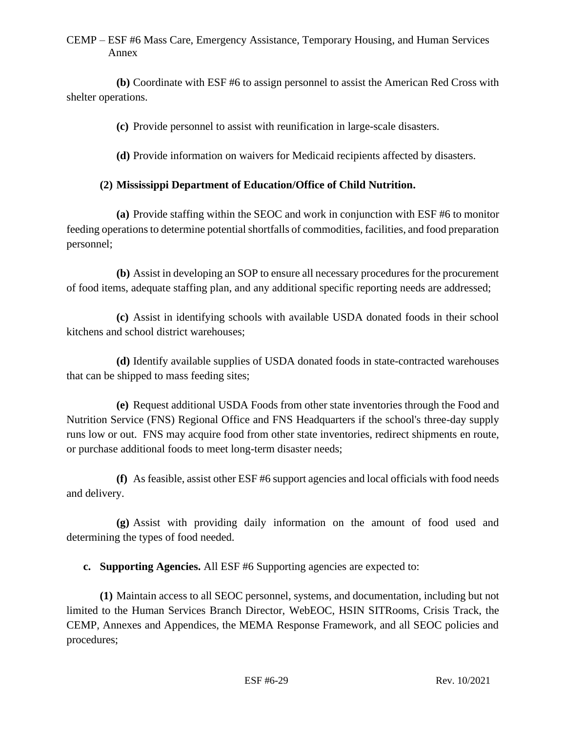**(b)** Coordinate with ESF #6 to assign personnel to assist the American Red Cross with shelter operations.

**(c)** Provide personnel to assist with reunification in large-scale disasters.

**(d)** Provide information on waivers for Medicaid recipients affected by disasters.

## **(2) Mississippi Department of Education/Office of Child Nutrition.**

**(a)** Provide staffing within the SEOC and work in conjunction with ESF #6 to monitor feeding operations to determine potential shortfalls of commodities, facilities, and food preparation personnel;

**(b)** Assist in developing an SOP to ensure all necessary procedures for the procurement of food items, adequate staffing plan, and any additional specific reporting needs are addressed;

**(c)** Assist in identifying schools with available USDA donated foods in their school kitchens and school district warehouses;

**(d)** Identify available supplies of USDA donated foods in state-contracted warehouses that can be shipped to mass feeding sites;

**(e)** Request additional USDA Foods from other state inventories through the Food and Nutrition Service (FNS) Regional Office and FNS Headquarters if the school's three-day supply runs low or out. FNS may acquire food from other state inventories, redirect shipments en route, or purchase additional foods to meet long-term disaster needs;

**(f)** As feasible, assist other ESF #6 support agencies and local officials with food needs and delivery.

**(g)** Assist with providing daily information on the amount of food used and determining the types of food needed.

**c. Supporting Agencies.** All ESF #6 Supporting agencies are expected to:

**(1)** Maintain access to all SEOC personnel, systems, and documentation, including but not limited to the Human Services Branch Director, WebEOC, HSIN SITRooms, Crisis Track, the CEMP, Annexes and Appendices, the MEMA Response Framework, and all SEOC policies and procedures;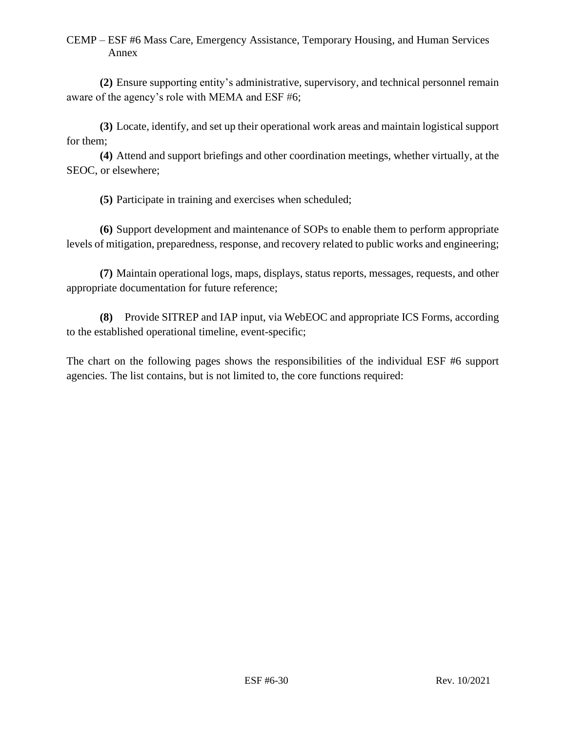**(2)** Ensure supporting entity's administrative, supervisory, and technical personnel remain aware of the agency's role with MEMA and ESF #6;

**(3)** Locate, identify, and set up their operational work areas and maintain logistical support for them;

**(4)** Attend and support briefings and other coordination meetings, whether virtually, at the SEOC, or elsewhere;

**(5)** Participate in training and exercises when scheduled;

**(6)** Support development and maintenance of SOPs to enable them to perform appropriate levels of mitigation, preparedness, response, and recovery related to public works and engineering;

**(7)** Maintain operational logs, maps, displays, status reports, messages, requests, and other appropriate documentation for future reference;

**(8)** Provide SITREP and IAP input, via WebEOC and appropriate ICS Forms, according to the established operational timeline, event-specific;

The chart on the following pages shows the responsibilities of the individual ESF #6 support agencies. The list contains, but is not limited to, the core functions required: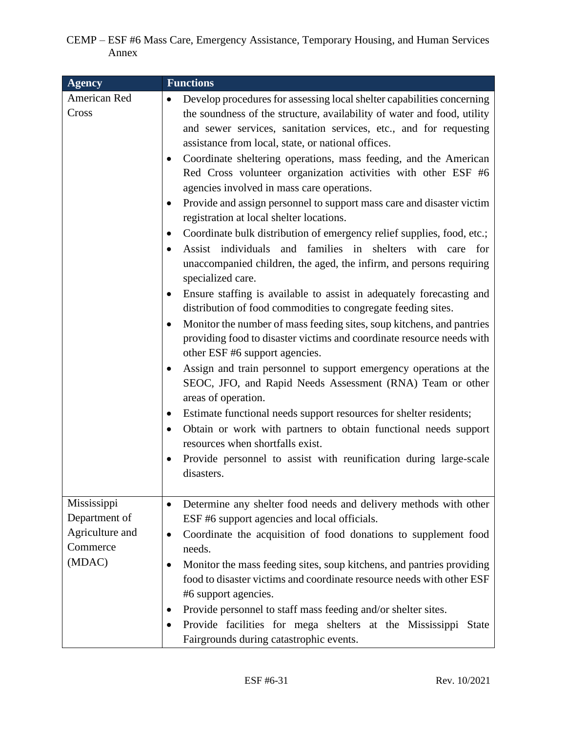| <b>Agency</b>                                                         | <b>Functions</b>                                                                                                                                                                                                                                                                                                                                                                                                                                                                                                                                                                                                                                                                                                                                                                                                                                                                                                                                                                                                                                                                                                                                                                                                                                                                                                                                                                                                                                                                                                                                                                                                                                 |
|-----------------------------------------------------------------------|--------------------------------------------------------------------------------------------------------------------------------------------------------------------------------------------------------------------------------------------------------------------------------------------------------------------------------------------------------------------------------------------------------------------------------------------------------------------------------------------------------------------------------------------------------------------------------------------------------------------------------------------------------------------------------------------------------------------------------------------------------------------------------------------------------------------------------------------------------------------------------------------------------------------------------------------------------------------------------------------------------------------------------------------------------------------------------------------------------------------------------------------------------------------------------------------------------------------------------------------------------------------------------------------------------------------------------------------------------------------------------------------------------------------------------------------------------------------------------------------------------------------------------------------------------------------------------------------------------------------------------------------------|
| American Red<br>Cross                                                 | Develop procedures for assessing local shelter capabilities concerning<br>$\bullet$<br>the soundness of the structure, availability of water and food, utility<br>and sewer services, sanitation services, etc., and for requesting<br>assistance from local, state, or national offices.<br>Coordinate sheltering operations, mass feeding, and the American<br>Red Cross volunteer organization activities with other ESF #6<br>agencies involved in mass care operations.<br>Provide and assign personnel to support mass care and disaster victim<br>registration at local shelter locations.<br>Coordinate bulk distribution of emergency relief supplies, food, etc.;<br>٠<br>Assist individuals and families in shelters with care for<br>unaccompanied children, the aged, the infirm, and persons requiring<br>specialized care.<br>Ensure staffing is available to assist in adequately forecasting and<br>$\bullet$<br>distribution of food commodities to congregate feeding sites.<br>Monitor the number of mass feeding sites, soup kitchens, and pantries<br>providing food to disaster victims and coordinate resource needs with<br>other ESF #6 support agencies.<br>Assign and train personnel to support emergency operations at the<br>٠<br>SEOC, JFO, and Rapid Needs Assessment (RNA) Team or other<br>areas of operation.<br>Estimate functional needs support resources for shelter residents;<br>$\bullet$<br>Obtain or work with partners to obtain functional needs support<br>$\bullet$<br>resources when shortfalls exist.<br>Provide personnel to assist with reunification during large-scale<br>٠<br>disasters. |
| Mississippi<br>Department of<br>Agriculture and<br>Commerce<br>(MDAC) | Determine any shelter food needs and delivery methods with other<br>٠<br>ESF #6 support agencies and local officials.<br>Coordinate the acquisition of food donations to supplement food<br>$\bullet$<br>needs.<br>Monitor the mass feeding sites, soup kitchens, and pantries providing<br>$\bullet$<br>food to disaster victims and coordinate resource needs with other ESF<br>#6 support agencies.<br>Provide personnel to staff mass feeding and/or shelter sites.<br>٠<br>Provide facilities for mega shelters at the Mississippi State<br>Fairgrounds during catastrophic events.                                                                                                                                                                                                                                                                                                                                                                                                                                                                                                                                                                                                                                                                                                                                                                                                                                                                                                                                                                                                                                                         |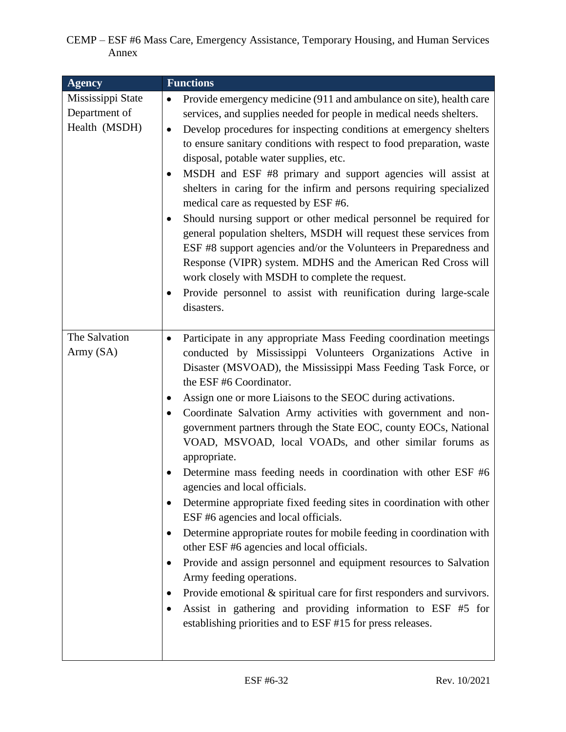| <b>Agency</b>                                       | <b>Functions</b>                                                                                                                                                                                                                                                                                                                                                                                                                                                                                                                                                                                                                                                                                                                                                                                                                                                                                                                                                                                                                                                                                                                                                               |
|-----------------------------------------------------|--------------------------------------------------------------------------------------------------------------------------------------------------------------------------------------------------------------------------------------------------------------------------------------------------------------------------------------------------------------------------------------------------------------------------------------------------------------------------------------------------------------------------------------------------------------------------------------------------------------------------------------------------------------------------------------------------------------------------------------------------------------------------------------------------------------------------------------------------------------------------------------------------------------------------------------------------------------------------------------------------------------------------------------------------------------------------------------------------------------------------------------------------------------------------------|
| Mississippi State<br>Department of<br>Health (MSDH) | Provide emergency medicine (911 and ambulance on site), health care<br>$\bullet$<br>services, and supplies needed for people in medical needs shelters.<br>Develop procedures for inspecting conditions at emergency shelters<br>$\bullet$<br>to ensure sanitary conditions with respect to food preparation, waste<br>disposal, potable water supplies, etc.<br>MSDH and ESF #8 primary and support agencies will assist at<br>shelters in caring for the infirm and persons requiring specialized<br>medical care as requested by ESF #6.<br>Should nursing support or other medical personnel be required for<br>general population shelters, MSDH will request these services from<br>ESF #8 support agencies and/or the Volunteers in Preparedness and<br>Response (VIPR) system. MDHS and the American Red Cross will<br>work closely with MSDH to complete the request.<br>Provide personnel to assist with reunification during large-scale<br>٠<br>disasters.                                                                                                                                                                                                         |
| The Salvation<br>Army (SA)                          | Participate in any appropriate Mass Feeding coordination meetings<br>٠<br>conducted by Mississippi Volunteers Organizations Active in<br>Disaster (MSVOAD), the Mississippi Mass Feeding Task Force, or<br>the ESF #6 Coordinator.<br>Assign one or more Liaisons to the SEOC during activations.<br>Coordinate Salvation Army activities with government and non-<br>government partners through the State EOC, county EOCs, National<br>VOAD, MSVOAD, local VOADs, and other similar forums as<br>appropriate.<br>Determine mass feeding needs in coordination with other ESF #6<br>agencies and local officials.<br>Determine appropriate fixed feeding sites in coordination with other<br>ESF #6 agencies and local officials.<br>Determine appropriate routes for mobile feeding in coordination with<br>٠<br>other ESF #6 agencies and local officials.<br>Provide and assign personnel and equipment resources to Salvation<br>٠<br>Army feeding operations.<br>Provide emotional $\&$ spiritual care for first responders and survivors.<br>Assist in gathering and providing information to ESF #5 for<br>establishing priorities and to ESF #15 for press releases. |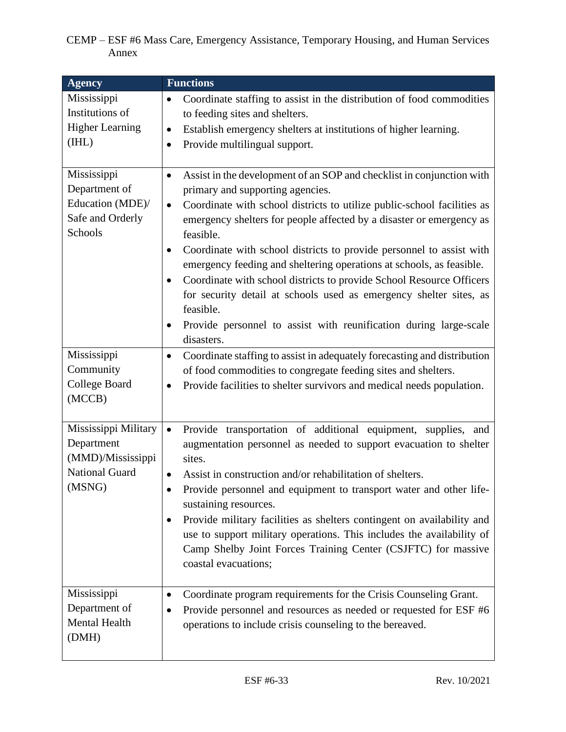| <b>Agency</b>                                                                       | <b>Functions</b>                                                                                                                                                                                                                                                                                                                                                                                                                                                                                                                                                                                                                                                                                                                 |
|-------------------------------------------------------------------------------------|----------------------------------------------------------------------------------------------------------------------------------------------------------------------------------------------------------------------------------------------------------------------------------------------------------------------------------------------------------------------------------------------------------------------------------------------------------------------------------------------------------------------------------------------------------------------------------------------------------------------------------------------------------------------------------------------------------------------------------|
| Mississippi<br>Institutions of<br><b>Higher Learning</b><br>(IHL)                   | Coordinate staffing to assist in the distribution of food commodities<br>$\bullet$<br>to feeding sites and shelters.<br>Establish emergency shelters at institutions of higher learning.<br>$\bullet$<br>Provide multilingual support.<br>$\bullet$                                                                                                                                                                                                                                                                                                                                                                                                                                                                              |
| Mississippi<br>Department of<br>Education (MDE)/<br>Safe and Orderly<br>Schools     | Assist in the development of an SOP and checklist in conjunction with<br>$\bullet$<br>primary and supporting agencies.<br>Coordinate with school districts to utilize public-school facilities as<br>$\bullet$<br>emergency shelters for people affected by a disaster or emergency as<br>feasible.<br>Coordinate with school districts to provide personnel to assist with<br>$\bullet$<br>emergency feeding and sheltering operations at schools, as feasible.<br>Coordinate with school districts to provide School Resource Officers<br>$\bullet$<br>for security detail at schools used as emergency shelter sites, as<br>feasible.<br>Provide personnel to assist with reunification during large-scale<br>٠<br>disasters. |
| Mississippi<br>Community<br>College Board<br>(MCCB)                                 | Coordinate staffing to assist in adequately forecasting and distribution<br>$\bullet$<br>of food commodities to congregate feeding sites and shelters.<br>Provide facilities to shelter survivors and medical needs population.<br>٠                                                                                                                                                                                                                                                                                                                                                                                                                                                                                             |
| Mississippi Military<br>Department<br>(MMD)/Mississippi<br>National Guard<br>(MSNG) | Provide transportation of additional equipment, supplies,<br>$\bullet$<br>and<br>augmentation personnel as needed to support evacuation to shelter<br>sites.<br>Assist in construction and/or rehabilitation of shelters.<br>Provide personnel and equipment to transport water and other life-<br>sustaining resources.<br>Provide military facilities as shelters contingent on availability and<br>٠<br>use to support military operations. This includes the availability of<br>Camp Shelby Joint Forces Training Center (CSJFTC) for massive<br>coastal evacuations;                                                                                                                                                        |
| Mississippi<br>Department of<br>Mental Health<br>(DMH)                              | Coordinate program requirements for the Crisis Counseling Grant.<br>٠<br>Provide personnel and resources as needed or requested for ESF #6<br>operations to include crisis counseling to the bereaved.                                                                                                                                                                                                                                                                                                                                                                                                                                                                                                                           |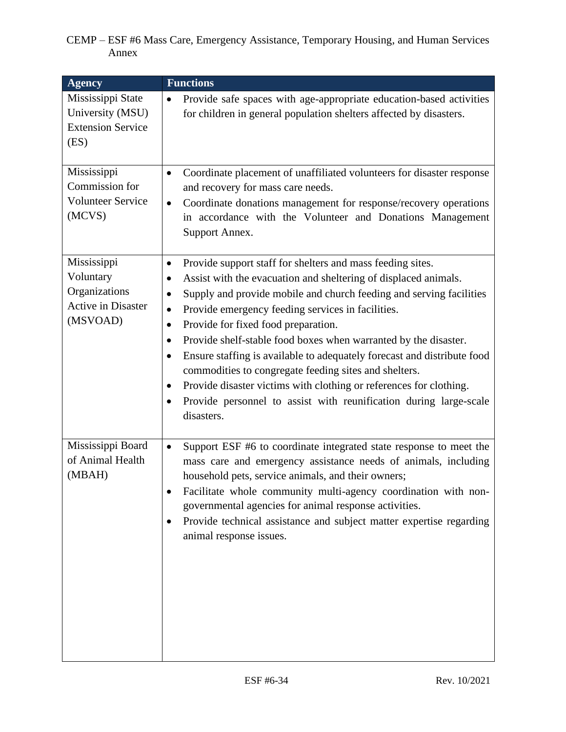| <b>Agency</b>                                                                      | <b>Functions</b>                                                                                                                                                                                                                                                                                                                                                                                                                                                                                                                                                                                                                                                                                                               |
|------------------------------------------------------------------------------------|--------------------------------------------------------------------------------------------------------------------------------------------------------------------------------------------------------------------------------------------------------------------------------------------------------------------------------------------------------------------------------------------------------------------------------------------------------------------------------------------------------------------------------------------------------------------------------------------------------------------------------------------------------------------------------------------------------------------------------|
| Mississippi State<br>University (MSU)<br><b>Extension Service</b><br>(ES)          | Provide safe spaces with age-appropriate education-based activities<br>$\bullet$<br>for children in general population shelters affected by disasters.                                                                                                                                                                                                                                                                                                                                                                                                                                                                                                                                                                         |
| Mississippi<br>Commission for<br><b>Volunteer Service</b><br>(MCVS)                | Coordinate placement of unaffiliated volunteers for disaster response<br>$\bullet$<br>and recovery for mass care needs.<br>Coordinate donations management for response/recovery operations<br>$\bullet$<br>in accordance with the Volunteer and Donations Management<br>Support Annex.                                                                                                                                                                                                                                                                                                                                                                                                                                        |
| Mississippi<br>Voluntary<br>Organizations<br><b>Active in Disaster</b><br>(MSVOAD) | Provide support staff for shelters and mass feeding sites.<br>٠<br>Assist with the evacuation and sheltering of displaced animals.<br>Supply and provide mobile and church feeding and serving facilities<br>Provide emergency feeding services in facilities.<br>$\bullet$<br>Provide for fixed food preparation.<br>٠<br>Provide shelf-stable food boxes when warranted by the disaster.<br>$\bullet$<br>Ensure staffing is available to adequately forecast and distribute food<br>commodities to congregate feeding sites and shelters.<br>Provide disaster victims with clothing or references for clothing.<br>$\bullet$<br>Provide personnel to assist with reunification during large-scale<br>$\bullet$<br>disasters. |
| Mississippi Board<br>of Animal Health<br>(MBAH)                                    | Support ESF #6 to coordinate integrated state response to meet the<br>$\bullet$<br>mass care and emergency assistance needs of animals, including<br>household pets, service animals, and their owners;<br>Facilitate whole community multi-agency coordination with non-<br>governmental agencies for animal response activities.<br>Provide technical assistance and subject matter expertise regarding<br>٠<br>animal response issues.                                                                                                                                                                                                                                                                                      |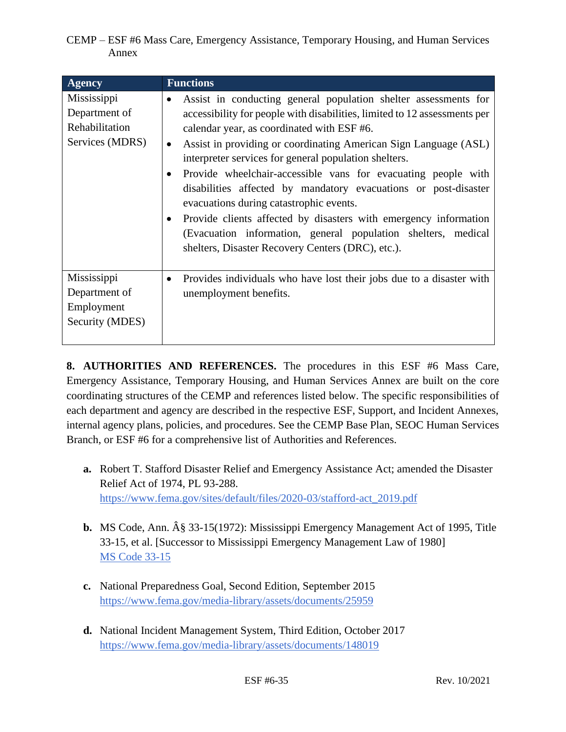| <b>Agency</b>                                                     | <b>Functions</b>                                                                                                                                                                                                                                                                                                                                                                                                                                                                                                                                                                                                                                                                                                                                     |
|-------------------------------------------------------------------|------------------------------------------------------------------------------------------------------------------------------------------------------------------------------------------------------------------------------------------------------------------------------------------------------------------------------------------------------------------------------------------------------------------------------------------------------------------------------------------------------------------------------------------------------------------------------------------------------------------------------------------------------------------------------------------------------------------------------------------------------|
| Mississippi<br>Department of<br>Rehabilitation<br>Services (MDRS) | Assist in conducting general population shelter assessments for<br>$\bullet$<br>accessibility for people with disabilities, limited to 12 assessments per<br>calendar year, as coordinated with ESF #6.<br>Assist in providing or coordinating American Sign Language (ASL)<br>$\bullet$<br>interpreter services for general population shelters.<br>Provide wheelchair-accessible vans for evacuating people with<br>$\bullet$<br>disabilities affected by mandatory evacuations or post-disaster<br>evacuations during catastrophic events.<br>Provide clients affected by disasters with emergency information<br>$\bullet$<br>(Evacuation information, general population shelters, medical<br>shelters, Disaster Recovery Centers (DRC), etc.). |
| Mississippi<br>Department of<br>Employment<br>Security (MDES)     | Provides individuals who have lost their jobs due to a disaster with<br>٠<br>unemployment benefits.                                                                                                                                                                                                                                                                                                                                                                                                                                                                                                                                                                                                                                                  |

**8. AUTHORITIES AND REFERENCES.** The procedures in this ESF #6 Mass Care, Emergency Assistance, Temporary Housing, and Human Services Annex are built on the core coordinating structures of the CEMP and references listed below. The specific responsibilities of each department and agency are described in the respective ESF, Support, and Incident Annexes, internal agency plans, policies, and procedures. See the CEMP Base Plan, SEOC Human Services Branch, or ESF #6 for a comprehensive list of Authorities and References.

- **a.** Robert T. Stafford Disaster Relief and Emergency Assistance Act; amended the Disaster Relief Act of 1974, PL 93-288. [https://www.fema.gov/sites/default/files/2020-03/stafford-act\\_2019.pdf](https://www.fema.gov/sites/default/files/2020-03/stafford-act_2019.pdf)
- **b.** MS Code, Ann.  $\hat{A}\hat{g}$  33-15(1972): Mississippi Emergency Management Act of 1995, Title 33-15, et al. [Successor to Mississippi Emergency Management Law of 1980] [MS Code 33-15](https://law.justia.com/codes/mississippi/2010/title-33/15/)
- **c.** National Preparedness Goal, Second Edition, September 2015 <https://www.fema.gov/media-library/assets/documents/25959>
- **d.** National Incident Management System, Third Edition, October 2017 <https://www.fema.gov/media-library/assets/documents/148019>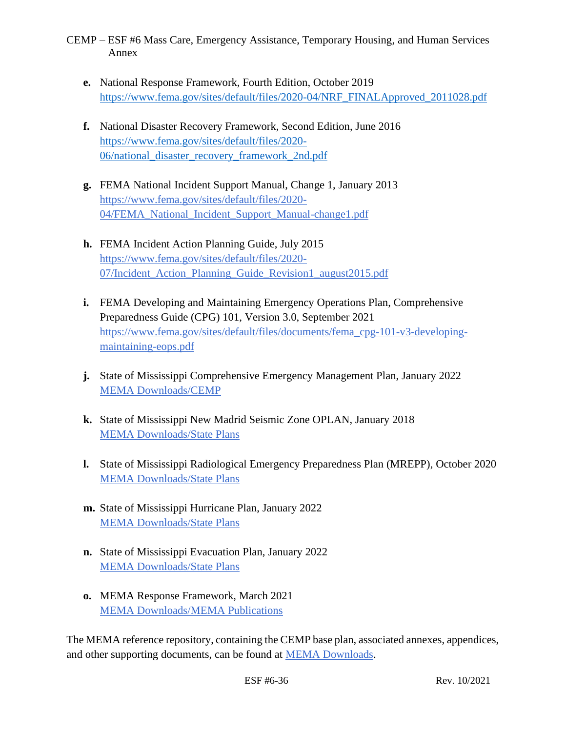- **e.** National Response Framework, Fourth Edition, October 2019 [https://www.fema.gov/sites/default/files/2020-04/NRF\\_FINALApproved\\_2011028.pdf](https://www.fema.gov/sites/default/files/2020-04/NRF_FINALApproved_2011028.pdf)
- **f.** National Disaster Recovery Framework, Second Edition, June 2016 [https://www.fema.gov/sites/default/files/2020-](https://www.fema.gov/sites/default/files/2020-06/national_disaster_recovery_framework_2nd.pdf) [06/national\\_disaster\\_recovery\\_framework\\_2nd.pdf](https://www.fema.gov/sites/default/files/2020-06/national_disaster_recovery_framework_2nd.pdf)
- **g.** FEMA National Incident Support Manual, Change 1, January 2013 [https://www.fema.gov/sites/default/files/2020-](https://www.fema.gov/sites/default/files/2020-04/FEMA_National_Incident_Support_Manual-change1.pdf) [04/FEMA\\_National\\_Incident\\_Support\\_Manual-change1.pdf](https://www.fema.gov/sites/default/files/2020-04/FEMA_National_Incident_Support_Manual-change1.pdf)
- **h.** FEMA Incident Action Planning Guide, July 2015 [https://www.fema.gov/sites/default/files/2020-](https://www.fema.gov/sites/default/files/2020-07/Incident_Action_Planning_Guide_Revision1_august2015.pdf) [07/Incident\\_Action\\_Planning\\_Guide\\_Revision1\\_august2015.pdf](https://www.fema.gov/sites/default/files/2020-07/Incident_Action_Planning_Guide_Revision1_august2015.pdf)
- **i.** FEMA Developing and Maintaining Emergency Operations Plan, Comprehensive Preparedness Guide (CPG) 101, Version 3.0, September 2021 [https://www.fema.gov/sites/default/files/documents/fema\\_cpg-101-v3-developing](https://www.fema.gov/sites/default/files/documents/fema_cpg-101-v3-developing-maintaining-eops.pdf)[maintaining-eops.pdf](https://www.fema.gov/sites/default/files/documents/fema_cpg-101-v3-developing-maintaining-eops.pdf)
- **j.** State of Mississippi Comprehensive Emergency Management Plan, January 2022 [MEMA Downloads/CEMP](https://msmema.sharepoint.com/Shared%20Documents/Forms/AllItems.aspx?id=%2FShared%20Documents%2FMEMA%20Downloads%2FComprehensive%20Emergency%20Management%20Plan%20%2D%202022&viewid=8f98db8b%2D85b5%2D471a%2Db3cc%2D6cc4ee9e7407)
- **k.** State of Mississippi New Madrid Seismic Zone OPLAN, January 2018 [MEMA Downloads/State Plans](https://msmema.sharepoint.com/Shared%20Documents/Forms/AllItems.aspx?viewid=8f98db8b%2D85b5%2D471a%2Db3cc%2D6cc4ee9e7407&id=%2FShared%20Documents%2FMEMA%20Downloads%2FState%20Plans)
- **l.** State of Mississippi Radiological Emergency Preparedness Plan (MREPP), October 2020 [MEMA Downloads/State Plans](https://msmema.sharepoint.com/Shared%20Documents/Forms/AllItems.aspx?viewid=8f98db8b%2D85b5%2D471a%2Db3cc%2D6cc4ee9e7407&id=%2FShared%20Documents%2FMEMA%20Downloads%2FState%20Plans)
- **m.** State of Mississippi Hurricane Plan, January 2022 [MEMA Downloads/State Plans](https://msmema.sharepoint.com/Shared%20Documents/Forms/AllItems.aspx?viewid=8f98db8b%2D85b5%2D471a%2Db3cc%2D6cc4ee9e7407&id=%2FShared%20Documents%2FMEMA%20Downloads%2FState%20Plans)
- **n.** State of Mississippi Evacuation Plan, January 2022 [MEMA Downloads/State Plans](https://msmema.sharepoint.com/Shared%20Documents/Forms/AllItems.aspx?viewid=8f98db8b%2D85b5%2D471a%2Db3cc%2D6cc4ee9e7407&id=%2FShared%20Documents%2FMEMA%20Downloads%2FState%20Plans)
- **o.** MEMA Response Framework, March 2021 [MEMA Downloads/MEMA Publications](https://msmema.sharepoint.com/Shared%20Documents/Forms/AllItems.aspx?viewid=8f98db8b%2D85b5%2D471a%2Db3cc%2D6cc4ee9e7407&id=%2FShared%20Documents%2FMEMA%20Downloads%2FMEMA%20Publications)

The MEMA reference repository, containing the CEMP base plan, associated annexes, appendices, and other supporting documents, can be found at [MEMA Downloads.](https://msmema.sharepoint.com/:f:/g/EqOo4aFNl0dPjja3MdSpSSsBlSoSLEznRJvlUGHnID2Crw?e=G23aoB)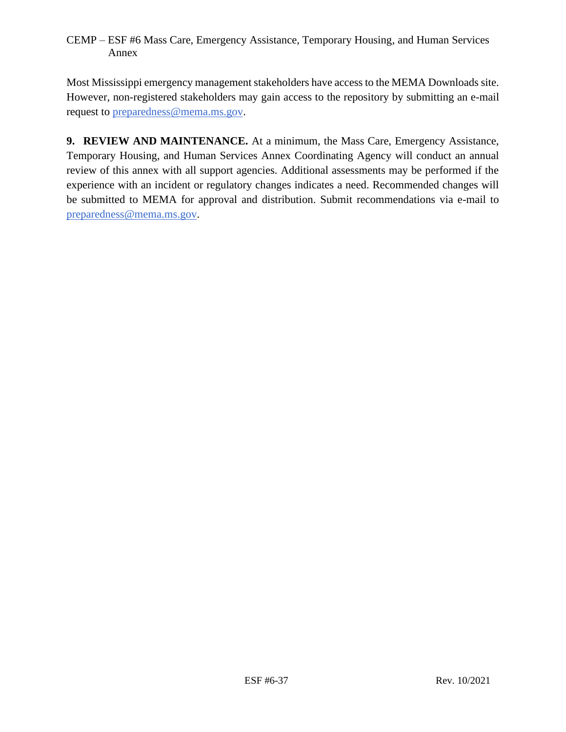Most Mississippi emergency management stakeholders have access to the MEMA Downloads site. However, non-registered stakeholders may gain access to the repository by submitting an e-mail request to [preparedness@mema.ms.gov.](mailto:preparedness@mema.ms.gov)

**9. REVIEW AND MAINTENANCE.** At a minimum, the Mass Care, Emergency Assistance, Temporary Housing, and Human Services Annex Coordinating Agency will conduct an annual review of this annex with all support agencies. Additional assessments may be performed if the experience with an incident or regulatory changes indicates a need. Recommended changes will be submitted to MEMA for approval and distribution. Submit recommendations via e-mail to [preparedness@mema.ms.gov.](mailto:preparedness@mema.ms.gov)